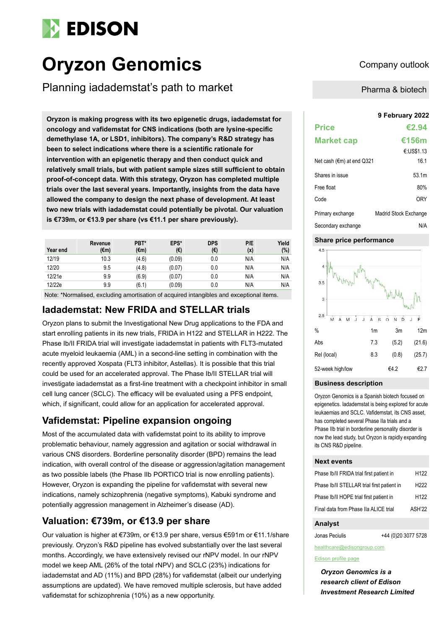

# **Oryzon Genomics** Company outlook

Planning iadademstat's path to market

**9 February 2022 Oryzon is making progress with its two epigenetic drugs, iadademstat for oncology and vafidemstat for CNS indications (both are lysine-specific demethylase 1A, or LSD1, inhibitors). The company's R&D strategy has been to select indications where there is a scientific rationale for intervention with an epigenetic therapy and then conduct quick and relatively small trials, but with patient sample sizes still sufficient to obtain proof-of-concept data. With this strategy, Oryzon has completed multiple trials over the last several years. Importantly, insights from the data have allowed the company to design the next phase of development. At least two new trials with iadademstat could potentially be pivotal. Our valuation is €739m, or €13.9 per share (vs €11.1 per share previously).**

| Year end | Revenue<br>(€m) | PBT*<br>$(\epsilon m)$ | EPS*<br>(€) | <b>DPS</b><br>(€) | P/E<br>(x) | Yield<br>(%) |
|----------|-----------------|------------------------|-------------|-------------------|------------|--------------|
| 12/19    | 10.3            | (4.6)                  | (0.09)      | 0.0               | N/A        | N/A          |
| 12/20    | 9.5             | (4.8)                  | (0.07)      | 0.0               | N/A        | N/A          |
| 12/21e   | 9.9             | (6.9)                  | (0.07)      | 0.0               | N/A        | N/A          |
| 12/22e   | 9.9             | (6.1)                  | (0.09)      | 0.0               | N/A        | N/A          |

Note: \*Normalised, excluding amortisation of acquired intangibles and exceptional items.

## **Iadademstat: New FRIDA and STELLAR trials**

Oryzon plans to submit the Investigational New Drug applications to the FDA and start enrolling patients in its new trials, FRIDA in H122 and STELLAR in H222. The Phase Ib/II FRIDA trial will investigate iadademstat in patients with FLT3-mutated acute myeloid leukaemia (AML) in a second-line setting in combination with the recently approved Xospata (FLT3 inhibitor, Astellas). It is possible that this trial could be used for an accelerated approval. The Phase Ib/II STELLAR trial will investigate iadademstat as a first-line treatment with a checkpoint inhibitor in small cell lung cancer (SCLC). The efficacy will be evaluated using a PFS endpoint, which, if significant, could allow for an application for accelerated approval.

## **Vafidemstat: Pipeline expansion ongoing**

Most of the accumulated data with vafidemstat point to its ability to improve problematic behaviour, namely aggression and agitation or social withdrawal in various CNS disorders. Borderline personality disorder (BPD) remains the lead indication, with overall control of the disease or aggression/agitation management as two possible labels (the Phase IIb PORTICO trial is now enrolling patients). However, Oryzon is expanding the pipeline for vafidemstat with several new indications, namely schizophrenia (negative symptoms), Kabuki syndrome and potentially aggression management in Alzheimer's disease (AD).

## **Valuation: €739m, or €13.9 per share**

Our valuation is higher at €739m, or €13.9 per share, versus €591m or €11.1/share previously. Oryzon's R&D pipeline has evolved substantially over the last several months. Accordingly, we have extensively revised our rNPV model. In our rNPV model we keep AML (26% of the total rNPV) and SCLC (23%) indications for iadademstat and AD (11%) and BPD (28%) for vafidemstat (albeit our underlying assumptions are updated). We have removed multiple sclerosis, but have added vafidemstat for schizophrenia (10%) as a new opportunity.

Pharma & biotech

| <b>Price</b>                         | €2.94                 |
|--------------------------------------|-----------------------|
| <b>Market cap</b>                    | €156m                 |
|                                      | €:US\$1.13            |
| Net cash ( $\epsilon$ m) at end Q321 | 16.1                  |
| Shares in issue                      | 53.1m                 |
| Free float                           | 80%                   |
| Code                                 | 0RY                   |
| Primary exchange                     | Madrid Stock Exchange |
| Secondary exchange                   | N/A                   |

#### **Share price performance**



#### **Business description**

Oryzon Genomics is a Spanish biotech focused on epigenetics. Iadademstat is being explored for acute leukaemias and SCLC. Vafidemstat, its CNS asset, has completed several Phase IIa trials and a Phase IIb trial in borderline personality disorder is now the lead study, but Oryzon is rapidly expanding its CNS R&D pipeline.

#### **Next events**

| Phase Ib/II FRIDA trial first patient in   | H <sub>122</sub> |
|--------------------------------------------|------------------|
| Phase Ib/II STELLAR trial first patient in | H <sub>222</sub> |
| Phase Ib/II HOPE trial first patient in    | H <sub>122</sub> |
| Final data from Phase IIa ALICE trial      | ASH'22           |

#### **Analyst**

Jonas Peciulis +44 (0)20 3077 5728

healthcare@edisongroup.com

#### [Edison profile page](https://www.edisongroup.com/company/oryzon-genomics/2262/)

*Oryzon Genomics is a research client of Edison Investment Research Limited*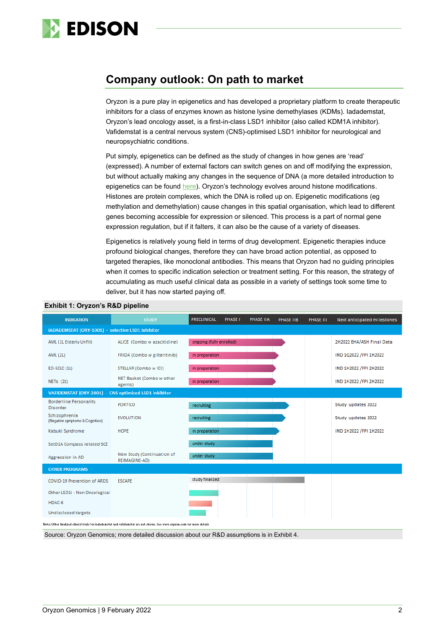

## **Company outlook: On path to market**

Oryzon is a pure play in epigenetics and has developed a proprietary platform to create therapeutic inhibitors for a class of enzymes known as histone lysine demethylases (KDMs). Iadademstat, Oryzon's lead oncology asset, is a first-in-class LSD1 inhibitor (also called KDM1A inhibitor). Vafidemstat is a central nervous system (CNS)-optimised LSD1 inhibitor for neurological and neuropsychiatric conditions.

Put simply, epigenetics can be defined as the study of changes in how genes are 'read' (expressed). A number of external factors can switch genes on and off modifying the expression, but without actually making any changes in the sequence of DNA (a more detailed introduction to epigenetics can be found [here\)](https://www.edisongroup.com/publication/new-frontiers-in-epigenetics/15972). Oryzon's technology evolves around histone modifications. Histones are protein complexes, which the DNA is rolled up on. Epigenetic modifications (eg methylation and demethylation) cause changes in this spatial organisation, which lead to different genes becoming accessible for expression or silenced. This process is a part of normal gene expression regulation, but if it falters, it can also be the cause of a variety of diseases.

Epigenetics is relatively young field in terms of drug development. Epigenetic therapies induce profound biological changes, therefore they can have broad action potential, as opposed to targeted therapies, like monoclonal antibodies. This means that Oryzon had no guiding principles when it comes to specific indication selection or treatment setting. For this reason, the strategy of accumulating as much useful clinical data as possible in a variety of settings took some time to deliver, but it has now started paying off.

| <b>INDICATION</b>                                                                                                        | <b>STUDY</b>                                | PRECLINICAL              | PHASE I | PHASE IIA | PHASE IIB | PHASE III | Next anticipated milestones |
|--------------------------------------------------------------------------------------------------------------------------|---------------------------------------------|--------------------------|---------|-----------|-----------|-----------|-----------------------------|
| IADADEMSTAT (ORY-1001) - selective LSD1 inhibitor                                                                        |                                             |                          |         |           |           |           |                             |
| AML (1L Elderly Unfit)                                                                                                   | ALICE (Combo w azacitidine)                 | ongoing (fully enrolled) |         |           |           |           | 2H2022 EHA/ASH Final Data   |
| <b>AML (2L)</b>                                                                                                          | FRIDA (Combo w gilteritinib)                | in preparation           |         |           |           |           | IND 1Q2022 / FPI 1H2022     |
| ED-SCLC (1L)                                                                                                             | STELLAR (Combo w ICI)                       | in preparation           |         |           |           |           | IND 1H2022 / FPI 2H2022     |
| NETs (2L)                                                                                                                | NET Basket (Combo w other<br>agents)        | in preparation           |         |           |           |           | IND 1H2022 / FPI 2H2022     |
| VAFIDEMSTAT (ORY-2001) - CNS optimized LSD1 inhibitor                                                                    |                                             |                          |         |           |           |           |                             |
| <b>Borderline Personality</b><br><b>Disorder</b>                                                                         | <b>PORTICO</b>                              | recruiting               |         |           |           |           | Study updates 2022          |
| Schizophrenia<br>(Negative symptoms & Cognition)                                                                         | <b>EVOLUTION</b>                            | recruiting               |         |           |           |           | Study updates 2022          |
| Kabuki Syndrome                                                                                                          | <b>HOPE</b>                                 | in preparation           |         |           |           |           | IND 1H2022 / FPI 1H2022     |
| SetD1A Compass related SCZ                                                                                               |                                             | under study              |         |           |           |           |                             |
| Aggression in AD                                                                                                         | New Study (Continuation of<br>REIMAGINE-AD) | under study              |         |           |           |           |                             |
| <b>OTHER PROGRAMS</b>                                                                                                    |                                             |                          |         |           |           |           |                             |
| COVID-19 Prevention of ARDS                                                                                              | <b>ESCAPE</b>                               | study finalized          |         |           |           |           |                             |
| Other LSD1i - Non Oncological                                                                                            |                                             |                          |         |           |           |           |                             |
| HDAC-6                                                                                                                   |                                             |                          |         |           |           |           |                             |
| Undisclosed targets                                                                                                      |                                             |                          |         |           |           |           |                             |
| Note: Other finalized clinical trials for iadademstat and vafidemstat are not shown. See www.oruzon.com for more details |                                             |                          |         |           |           |           |                             |

#### **Exhibit 1: Oryzon's R&D pipeline**

Source: Oryzon Genomics; more detailed discussion about our R&D assumptions is in Exhibit 4.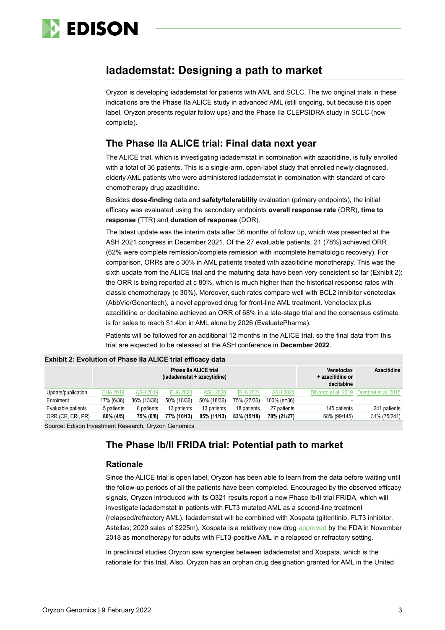

## **Iadademstat: Designing a path to market**

Oryzon is developing iadademstat for patients with AML and SCLC. The two original trials in these indications are the Phase IIa ALICE study in advanced AML (still ongoing, but because it is open label, Oryzon presents regular follow ups) and the Phase IIa CLEPSIDRA study in SCLC (now complete).

## **The Phase IIa ALICE trial: Final data next year**

The ALICE trial, which is investigating iadademstat in combination with azacitidine, is fully enrolled with a total of 36 patients. This is a single-arm, open-label study that enrolled newly diagnosed, elderly AML patients who were administered iadademstat in combination with standard of care chemotherapy drug azacitidine.

Besides **dose-finding** data and **safety/tolerability** evaluation (primary endpoints), the initial efficacy was evaluated using the secondary endpoints **overall response rate** (ORR), **time to response** (TTR) and **duration of response** (DOR).

The latest update was the interim data after 36 months of follow up, which was presented at the ASH 2021 congress in December 2021. Of the 27 evaluable patients, 21 (78%) achieved ORR (62% were complete remission/complete remission with incomplete hematologic recovery). For comparison, ORRs are c 30% in AML patients treated with azacitidine monotherapy. This was the sixth update from the ALICE trial and the maturing data have been very consistent so far (Exhibit 2): the ORR is being reported at c 80%, which is much higher than the historical response rates with classic chemotherapy (c 30%). Moreover, such rates compare well with BCL2 inhibitor venetoclax (AbbVie/Genentech), a novel approved drug for front-line AML treatment. Venetoclax plus azacitidine or decitabine achieved an ORR of 68% in a late-stage trial and the consensus estimate is for sales to reach \$1.4bn in AML alone by 2026 (EvaluatePharma).

Patients will be followed for an additional 12 months in the ALICE trial, so the final data from this trial are expected to be released at the ASH conference in **December 2022**.

|                                                     |            |                 | <b>Phase IIa ALICE trial</b><br>(iadademstat + azacytidine) |                 |                 |                 | <b>Venetoclax</b><br>+ azacitidine or<br>decitabine | <b>Azacitidine</b>  |
|-----------------------------------------------------|------------|-----------------|-------------------------------------------------------------|-----------------|-----------------|-----------------|-----------------------------------------------------|---------------------|
| Update/publication                                  | EHA 2019   | <b>ASH 2019</b> | <b>EHA 2020</b>                                             | <b>ASH 2020</b> | <b>EHA 2021</b> | <b>ASH 2021</b> | DiNardo et al. 2019                                 | Dombret et al. 2015 |
| Enrolment                                           | 17% (6/36) | 36% (13/36)     | 50% (18/36)                                                 | 50% (18/36)     | 75% (27/36)     | 100% (n=36)     |                                                     |                     |
| Evaluable patients                                  | 5 patients | 8 patients      | 13 patients                                                 | 13 patients     | 18 patients     | 27 patients     | 145 patients                                        | 241 patients        |
| ORR (CR, CRI, PR)                                   | 80% (4/5)  | 75% (6/8)       | 77% (10/13)                                                 | 85% (11/13)     | 83% (15/18)     | 78% (21/27)     | 68% (99/145)                                        | 31% (75/241)        |
| Course: Edison Investment Pessarsh, Onizon Canamies |            |                 |                                                             |                 |                 |                 |                                                     |                     |

#### **Exhibit 2: Evolution of Phase IIa ALICE trial efficacy data**

Source: Edison Investment Research, Oryzon Genomics

## **The Phase Ib/II FRIDA trial: Potential path to market**

### **Rationale**

Since the ALICE trial is open label, Oryzon has been able to learn from the data before waiting until the follow-up periods of all the patients have been completed. Encouraged by the observed efficacy signals, Oryzon introduced with its Q321 results report a new Phase Ib/II trial FRIDA, which will investigate iadademstat in patients with FLT3 mutated AML as a second-line treatment (relapsed/refractory AML). Iadademstat will be combined with Xospata (gilteritinib, FLT3 inhibitor, Astellas; 2020 sales of \$225m). Xospata is a relatively new drug [approved](https://www.fda.gov/news-events/press-announcements/fda-approves-treatment-adult-patients-who-have-relapsed-or-refractory-acute-myeloid-leukemia-aml) by the FDA in November 2018 as monotherapy for adults with FLT3-positive AML in a relapsed or refractory setting.

In preclinical studies Oryzon saw synergies between iadademstat and Xospata, which is the rationale for this trial. Also, Oryzon has an orphan drug designation granted for AML in the United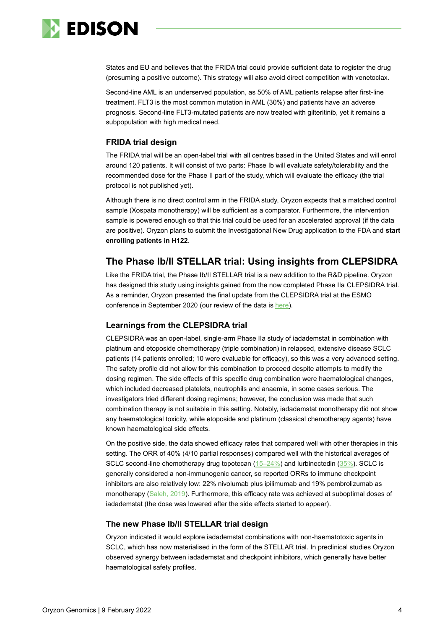

States and EU and believes that the FRIDA trial could provide sufficient data to register the drug (presuming a positive outcome). This strategy will also avoid direct competition with venetoclax.

Second-line AML is an underserved population, as 50% of AML patients relapse after first-line treatment. FLT3 is the most common mutation in AML (30%) and patients have an adverse prognosis. Second-line FLT3-mutated patients are now treated with gilteritinib, yet it remains a subpopulation with high medical need.

### **FRIDA trial design**

The FRIDA trial will be an open-label trial with all centres based in the United States and will enrol around 120 patients. It will consist of two parts: Phase Ib will evaluate safety/tolerability and the recommended dose for the Phase II part of the study, which will evaluate the efficacy (the trial protocol is not published yet).

Although there is no direct control arm in the FRIDA study, Oryzon expects that a matched control sample (Xospata monotherapy) will be sufficient as a comparator. Furthermore, the intervention sample is powered enough so that this trial could be used for an accelerated approval (if the data are positive). Oryzon plans to submit the Investigational New Drug application to the FDA and **start enrolling patients in H122**.

## **The Phase Ib/II STELLAR trial: Using insights from CLEPSIDRA**

Like the FRIDA trial, the Phase Ib/II STELLAR trial is a new addition to the R&D pipeline. Oryzon has designed this study using insights gained from the now completed Phase IIa CLEPSIDRA trial. As a reminder, Oryzon presented the final update from the CLEPSIDRA trial at the ESMO conference in September 2020 (our review of the data is [here\)](https://www.edisongroup.com/publication/final-update-from-phase-iia-clepsidra-trial/27838).

### **Learnings from the CLEPSIDRA trial**

CLEPSIDRA was an open-label, single-arm Phase IIa study of iadademstat in combination with platinum and etoposide chemotherapy (triple combination) in relapsed, extensive disease SCLC patients (14 patients enrolled; 10 were evaluable for efficacy), so this was a very advanced setting. The safety profile did not allow for this combination to proceed despite attempts to modify the dosing regimen. The side effects of this specific drug combination were haematological changes, which included decreased platelets, neutrophils and anaemia, in some cases serious. The investigators tried different dosing regimens; however, the conclusion was made that such combination therapy is not suitable in this setting. Notably, iadademstat monotherapy did not show any haematological toxicity, while etoposide and platinum (classical chemotherapy agents) have known haematological side effects.

On the positive side, the data showed efficacy rates that compared well with other therapies in this setting. The ORR of 40% (4/10 partial responses) compared well with the historical averages of SCLC second-line chemotherapy drug topotecan  $(15-24%)$  and lurbinectedin  $(35%)$ . SCLC is generally considered a non-immunogenic cancer, so reported ORRs to immune checkpoint inhibitors are also relatively low: 22% nivolumab plus ipilimumab and 19% pembrolizumab as monotherapy [\(Saleh, 2019\)](https://www.futuremedicine.com/doi/full/10.2217/imt-2019-0010). Furthermore, this efficacy rate was achieved at suboptimal doses of iadademstat (the dose was lowered after the side effects started to appear).

### **The new Phase Ib/II STELLAR trial design**

Oryzon indicated it would explore iadademstat combinations with non-haematotoxic agents in SCLC, which has now materialised in the form of the STELLAR trial. In preclinical studies Oryzon observed synergy between iadademstat and checkpoint inhibitors, which generally have better haematological safety profiles.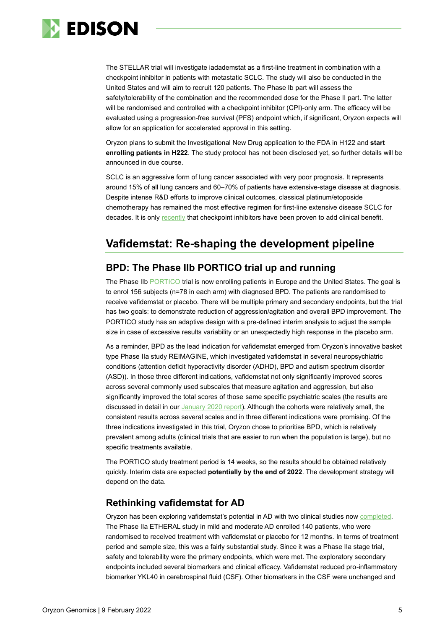

The STELLAR trial will investigate iadademstat as a first-line treatment in combination with a checkpoint inhibitor in patients with metastatic SCLC. The study will also be conducted in the United States and will aim to recruit 120 patients. The Phase Ib part will assess the safety/tolerability of the combination and the recommended dose for the Phase II part. The latter will be randomised and controlled with a checkpoint inhibitor (CPI)-only arm. The efficacy will be evaluated using a progression-free survival (PFS) endpoint which, if significant, Oryzon expects will allow for an application for accelerated approval in this setting.

Oryzon plans to submit the Investigational New Drug application to the FDA in H122 and **start enrolling patients in H222**. The study protocol has not been disclosed yet, so further details will be announced in due course.

SCLC is an aggressive form of lung cancer associated with very poor prognosis. It represents around 15% of all lung cancers and 60–70% of patients have extensive-stage disease at diagnosis. Despite intense R&D efforts to improve clinical outcomes, classical platinum/etoposide chemotherapy has remained the most effective regimen for first-line extensive disease SCLC for decades. It is only [recently](https://www.futuremedicine.com/doi/full/10.2217/imt-2019-0010) that checkpoint inhibitors have been proven to add clinical benefit.

## **Vafidemstat: Re-shaping the development pipeline**

## **BPD: The Phase IIb PORTICO trial up and running**

The Phase IIb [PORTICO](https://clinicaltrials.gov/ct2/show/NCT04932291?term=vafidemstat&draw=2&rank=1) trial is now enrolling patients in Europe and the United States. The goal is to enrol 156 subjects (n=78 in each arm) with diagnosed BPD. The patients are randomised to receive vafidemstat or placebo. There will be multiple primary and secondary endpoints, but the trial has two goals: to demonstrate reduction of aggression/agitation and overall BPD improvement. The PORTICO study has an adaptive design with a pre-defined interim analysis to adjust the sample size in case of excessive results variability or an unexpectedly high response in the placebo arm.

As a reminder, BPD as the lead indication for vafidemstat emerged from Oryzon's innovative basket type Phase IIa study REIMAGINE, which investigated vafidemstat in several neuropsychiatric conditions (attention deficit hyperactivity disorder (ADHD), BPD and autism spectrum disorder (ASD)). In those three different indications, vafidemstat not only significantly improved scores across several commonly used subscales that measure agitation and aggression, but also significantly improved the total scores of those same specific psychiatric scales (the results are discussed in detail in our [January 2020 report\)](https://www.edisongroup.com/publication/more-to-come-after-a-year-of-data-readouts/25977). Although the cohorts were relatively small, the consistent results across several scales and in three different indications were promising. Of the three indications investigated in this trial, Oryzon chose to prioritise BPD, which is relatively prevalent among adults (clinical trials that are easier to run when the population is large), but no specific treatments available.

The PORTICO study treatment period is 14 weeks, so the results should be obtained relatively quickly. Interim data are expected **potentially by the end of 2022**. The development strategy will depend on the data.

## **Rethinking vafidemstat for AD**

Oryzon has been exploring vafidemstat's potential in AD with two clinical studies now [completed.](https://www.oryzon.com/en/news-events/news/oryzon-presents-vafidemstat-12-month-clinical-data-its-phase-iia-clinical-trials)  The Phase IIa ETHERAL study in mild and moderate AD enrolled 140 patients, who were randomised to received treatment with vafidemstat or placebo for 12 months. In terms of treatment period and sample size, this was a fairly substantial study. Since it was a Phase IIa stage trial, safety and tolerability were the primary endpoints, which were met. The exploratory secondary endpoints included several biomarkers and clinical efficacy. Vafidemstat reduced pro-inflammatory biomarker YKL40 in cerebrospinal fluid (CSF). Other biomarkers in the CSF were unchanged and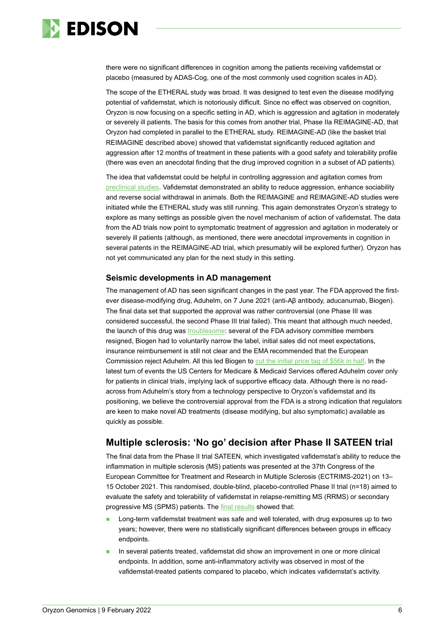

there were no significant differences in cognition among the patients receiving vafidemstat or placebo (measured by ADAS-Cog, one of the most commonly used cognition scales in AD).

The scope of the ETHERAL study was broad. It was designed to test even the disease modifying potential of vafidemstat, which is notoriously difficult. Since no effect was observed on cognition, Oryzon is now focusing on a specific setting in AD, which is aggression and agitation in moderately or severely ill patients. The basis for this comes from another trial, Phase IIa REIMAGINE-AD, that Oryzon had completed in parallel to the ETHERAL study. REIMAGINE-AD (like the basket trial REIMAGINE described above) showed that vafidemstat significantly reduced agitation and aggression after 12 months of treatment in these patients with a good safety and tolerability profile (there was even an anecdotal finding that the drug improved cognition in a subset of AD patients).

The idea that vafidemstat could be helpful in controlling aggression and agitation comes from [preclinical studies.](https://journals.plos.org/plosone/article?id=10.1371/journal.pone.0233468) Vafidemstat demonstrated an ability to reduce aggression, enhance sociability and reverse social withdrawal in animals. Both the REIMAGINE and REIMAGINE-AD studies were initiated while the ETHERAL study was still running. This again demonstrates Oryzon's strategy to explore as many settings as possible given the novel mechanism of action of vafidemstat. The data from the AD trials now point to symptomatic treatment of aggression and agitation in moderately or severely ill patients (although, as mentioned, there were anecdotal improvements in cognition in several patents in the REIMAGINE-AD trial, which presumably will be explored further). Oryzon has not yet communicated any plan for the next study in this setting.

### **Seismic developments in AD management**

The management of AD has seen significant changes in the past year. The FDA approved the firstever disease-modifying drug, Aduhelm, on 7 June 2021 (anti-Aβ antibody, aducanumab, Biogen). The final data set that supported the approval was rather controversial (one Phase III was considered successful, the second Phase III trial failed). This meant that although much needed, the launch of this drug was [troublesome:](https://endpts.com/the-very-slow-roll-of-biogens-aduhelm-neurologists-weigh-in-on-patients-practices-and-payments-amid-ongoing-media-storm/) several of the FDA advisory committee members resigned, Biogen had to voluntarily narrow the label, initial sales did not meet expectations, insurance reimbursement is still not clear and the EMA recommended that the European Commission reject Aduhelm. All this led Biogen to [cut the initial price tag of \\$56k in half.](https://endpts.com/biogen-slashes-aduhelm-price-in-half-foreshadows-significant-layoffs-as-sales-continue-to-stagnate/) In the latest turn of events the US Centers for Medicare & Medicaid Services offered Aduhelm cover only for patients in clinical trials, implying lack of supportive efficacy data. Although there is no readacross from Aduhelm's story from a technology perspective to Oryzon's vafidemstat and its positioning, we believe the controversial approval from the FDA is a strong indication that regulators are keen to make novel AD treatments (disease modifying, but also symptomatic) available as quickly as possible.

## **Multiple sclerosis: 'No go' decision after Phase II SATEEN trial**

The final data from the Phase II trial SATEEN, which investigated vafidemstat's ability to reduce the inflammation in multiple sclerosis (MS) patients was presented at the 37th Congress of the European Committee for Treatment and Research in Multiple Sclerosis (ECTRIMS-2021) on 13– 15 October 2021. This randomised, double-blind, placebo-controlled Phase II trial (n=18) aimed to evaluate the safety and tolerability of vafidemstat in relapse-remitting MS (RRMS) or secondary progressive MS (SPMS) patients. The [final results](https://www.oryzon.com/en/news-events/news/oryzon-presents-safety-and-efficacy-data-vafidemstat-phase-ii-sateen-trial) showed that:

- Long-term vafidemstat treatment was safe and well tolerated, with drug exposures up to two years; however, there were no statistically significant differences between groups in efficacy endpoints.
- In several patients treated, vafidemstat did show an improvement in one or more clinical endpoints. In addition, some anti-inflammatory activity was observed in most of the vafidemstat-treated patients compared to placebo, which indicates vafidemstat's activity.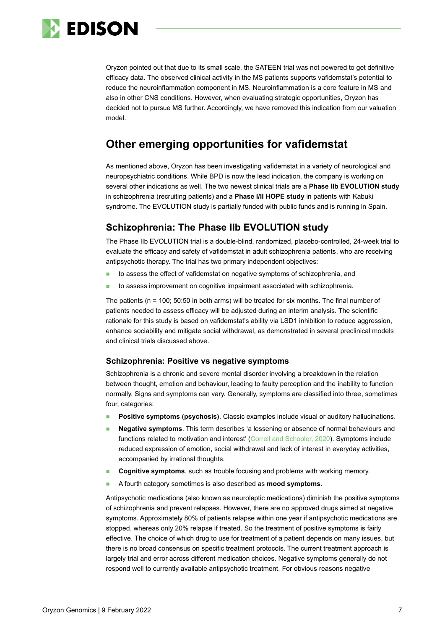

Oryzon pointed out that due to its small scale, the SATEEN trial was not powered to get definitive efficacy data. The observed clinical activity in the MS patients supports vafidemstat's potential to reduce the neuroinflammation component in MS. Neuroinflammation is a core feature in MS and also in other CNS conditions. However, when evaluating strategic opportunities, Oryzon has decided not to pursue MS further. Accordingly, we have removed this indication from our valuation model.

## **Other emerging opportunities for vafidemstat**

As mentioned above, Oryzon has been investigating vafidemstat in a variety of neurological and neuropsychiatric conditions. While BPD is now the lead indication, the company is working on several other indications as well. The two newest clinical trials are a **Phase IIb EVOLUTION study** in schizophrenia (recruiting patients) and a **Phase I/II HOPE study** in patients with Kabuki syndrome. The EVOLUTION study is partially funded with public funds and is running in Spain.

## **Schizophrenia: The Phase IIb EVOLUTION study**

The Phase IIb EVOLUTION trial is a double-blind, randomized, placebo-controlled, 24-week trial to evaluate the efficacy and safety of vafidemstat in adult schizophrenia patients, who are receiving antipsychotic therapy. The trial has two primary independent objectives:

- to assess the effect of vafidemstat on negative symptoms of schizophrenia, and
- to assess improvement on cognitive impairment associated with schizophrenia.

The patients (n = 100; 50:50 in both arms) will be treated for six months. The final number of patients needed to assess efficacy will be adjusted during an interim analysis. The scientific rationale for this study is based on vafidemstat's ability via LSD1 inhibition to reduce aggression, enhance sociability and mitigate social withdrawal, as demonstrated in several preclinical models and clinical trials discussed above.

### **Schizophrenia: Positive vs negative symptoms**

Schizophrenia is a chronic and severe mental disorder involving a breakdown in the relation between thought, emotion and behaviour, leading to faulty perception and the inability to function normally. Signs and symptoms can vary. Generally, symptoms are classified into three, sometimes four, categories:

- **Positive symptoms (psychosis)**. Classic examples include visual or auditory hallucinations.
- **Negative symptoms**. This term describes 'a lessening or absence of normal behaviours and functions related to motivation and interest' [\(Correll and Schooler, 2020\)](https://www.ncbi.nlm.nih.gov/pmc/articles/PMC7041437/). Symptoms include reduced expression of emotion, social withdrawal and lack of interest in everyday activities, accompanied by irrational thoughts.
- **Cognitive symptoms**, such as trouble focusing and problems with working memory.
- A fourth category sometimes is also described as **mood symptoms**.

Antipsychotic medications (also known as neuroleptic medications) diminish the positive symptoms of schizophrenia and prevent relapses. However, there are no approved drugs aimed at negative symptoms. Approximately 80% of patients relapse within one year if antipsychotic medications are stopped, whereas only 20% relapse if treated. So the treatment of positive symptoms is fairly effective. The choice of which drug to use for treatment of a patient depends on many issues, but there is no broad consensus on specific treatment protocols. The current treatment approach is largely trial and error across different medication choices. Negative symptoms generally do not respond well to currently available antipsychotic treatment. For obvious reasons negative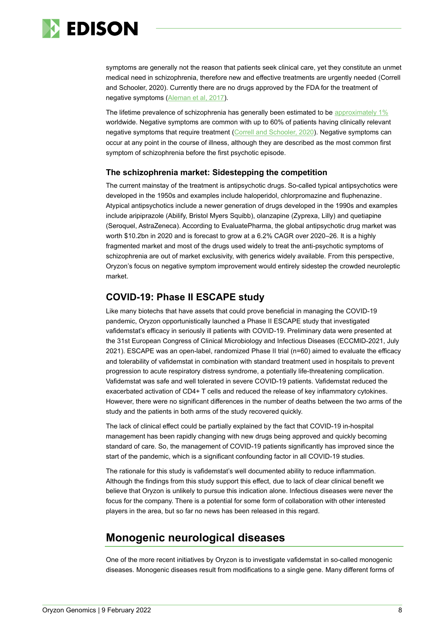

symptoms are generally not the reason that patients seek clinical care, yet they constitute an unmet medical need in schizophrenia, therefore new and effective treatments are urgently needed (Correll and Schooler, 2020). Currently there are no drugs approved by the FDA for the treatment of negative symptoms [\(Aleman et al, 2017\)](https://pubmed.ncbi.nlm.nih.gov/27293137/).

The lifetime prevalence of schizophrenia has generally been estimated to be [approximately 1%](https://www.ncbi.nlm.nih.gov/pmc/articles/PMC1140960/) worldwide. Negative symptoms are common with up to 60% of patients having clinically relevant negative symptoms that require treatment [\(Correll and Schooler, 2020\)](https://www.ncbi.nlm.nih.gov/pmc/articles/PMC7041437/). Negative symptoms can occur at any point in the course of illness, although they are described as the most common first symptom of schizophrenia before the first psychotic episode.

### **The schizophrenia market: Sidestepping the competition**

The current mainstay of the treatment is antipsychotic drugs. So-called typical antipsychotics were developed in the 1950s and examples include haloperidol, chlorpromazine and fluphenazine. Atypical antipsychotics include a newer generation of drugs developed in the 1990s and examples include aripiprazole (Abilify, Bristol Myers Squibb), olanzapine (Zyprexa, Lilly) and quetiapine (Seroquel, AstraZeneca). According to EvaluatePharma, the global antipsychotic drug market was worth \$10.2bn in 2020 and is forecast to grow at a 6.2% CAGR over 2020–26. It is a highly fragmented market and most of the drugs used widely to treat the anti-psychotic symptoms of schizophrenia are out of market exclusivity, with generics widely available. From this perspective, Oryzon's focus on negative symptom improvement would entirely sidestep the crowded neuroleptic market.

## **COVID-19: Phase II ESCAPE study**

Like many biotechs that have assets that could prove beneficial in managing the COVID-19 pandemic, Oryzon opportunistically launched a Phase II ESCAPE study that investigated vafidemstat's efficacy in seriously ill patients with COVID-19. Preliminary data were presented at the 31st European Congress of Clinical Microbiology and Infectious Diseases (ECCMID-2021, July 2021). ESCAPE was an open-label, randomized Phase II trial (n=60) aimed to evaluate the efficacy and tolerability of vafidemstat in combination with standard treatment used in hospitals to prevent progression to acute respiratory distress syndrome, a potentially life-threatening complication. Vafidemstat was safe and well tolerated in severe COVID-19 patients. Vafidemstat reduced the exacerbated activation of CD4+ T cells and reduced the release of key inflammatory cytokines. However, there were no significant differences in the number of deaths between the two arms of the study and the patients in both arms of the study recovered quickly.

The lack of clinical effect could be partially explained by the fact that COVID-19 in-hospital management has been rapidly changing with new drugs being approved and quickly becoming standard of care. So, the management of COVID-19 patients significantly has improved since the start of the pandemic, which is a significant confounding factor in all COVID-19 studies.

The rationale for this study is vafidemstat's well documented ability to reduce inflammation. Although the findings from this study support this effect, due to lack of clear clinical benefit we believe that Oryzon is unlikely to pursue this indication alone. Infectious diseases were never the focus for the company. There is a potential for some form of collaboration with other interested players in the area, but so far no news has been released in this regard.

## **Monogenic neurological diseases**

One of the more recent initiatives by Oryzon is to investigate vafidemstat in so-called monogenic diseases. Monogenic diseases result from modifications to a single gene. Many different forms of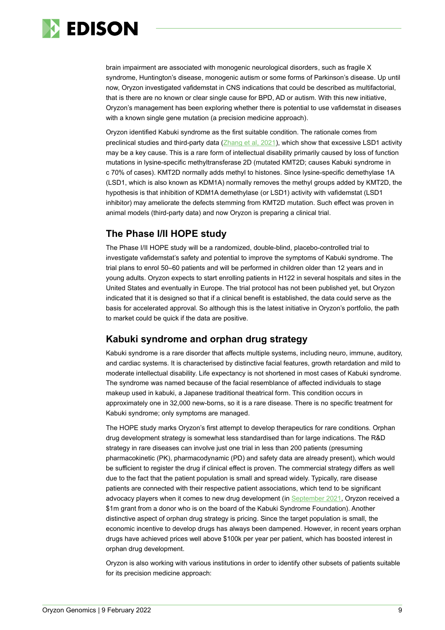

brain impairment are associated with monogenic neurological disorders, such as fragile X syndrome, Huntington's disease, monogenic autism or some forms of Parkinson's disease. Up until now, Oryzon investigated vafidemstat in CNS indications that could be described as multifactorial, that is there are no known or clear single cause for BPD, AD or autism. With this new initiative, Oryzon's management has been exploring whether there is potential to use vafidemstat in diseases with a known single gene mutation (a precision medicine approach).

Oryzon identified Kabuki syndrome as the first suitable condition. The rationale comes from preclinical studies and third-party data [\(Zhang et al, 2021\)](https://www.sciencedirect.com/science/article/pii/S2329050121000267), which show that excessive LSD1 activity may be a key cause. This is a rare form of intellectual disability primarily caused by loss of function mutations in lysine-specific methyltransferase 2D (mutated KMT2D; causes Kabuki syndrome in c 70% of cases). KMT2D normally adds methyl to histones. Since lysine-specific demethylase 1A (LSD1, which is also known as KDM1A) normally removes the methyl groups added by KMT2D, the hypothesis is that inhibition of KDM1A demethylase (or LSD1) activity with vafidemstat (LSD1 inhibitor) may ameliorate the defects stemming from KMT2D mutation. Such effect was proven in animal models (third-party data) and now Oryzon is preparing a clinical trial.

## **The Phase I/II HOPE study**

The Phase I/II HOPE study will be a randomized, double-blind, placebo-controlled trial to investigate vafidemstat's safety and potential to improve the symptoms of Kabuki syndrome. The trial plans to enrol 50–60 patients and will be performed in children older than 12 years and in young adults. Oryzon expects to start enrolling patients in H122 in several hospitals and sites in the United States and eventually in Europe. The trial protocol has not been published yet, but Oryzon indicated that it is designed so that if a clinical benefit is established, the data could serve as the basis for accelerated approval. So although this is the latest initiative in Oryzon's portfolio, the path to market could be quick if the data are positive.

## **Kabuki syndrome and orphan drug strategy**

Kabuki syndrome is a rare disorder that affects multiple systems, including neuro, immune, auditory, and cardiac systems. It is characterised by distinctive facial features, growth retardation and mild to moderate intellectual disability. Life expectancy is not shortened in most cases of Kabuki syndrome. The syndrome was named because of the facial resemblance of affected individuals to stage makeup used in kabuki, a Japanese traditional theatrical form. This condition occurs in approximately one in 32,000 new-borns, so it is a rare disease. There is no specific treatment for Kabuki syndrome; only symptoms are managed.

The HOPE study marks Oryzon's first attempt to develop therapeutics for rare conditions. Orphan drug development strategy is somewhat less standardised than for large indications. The R&D strategy in rare diseases can involve just one trial in less than 200 patients (presuming pharmacokinetic (PK), pharmacodynamic (PD) and safety data are already present), which would be sufficient to register the drug if clinical effect is proven. The commercial strategy differs as well due to the fact that the patient population is small and spread widely. Typically, rare disease patients are connected with their respective patient associations, which tend to be significant advocacy players when it comes to new drug development (in [September 2021,](https://www.oryzon.com/en/news-events/news/oryzon-announces-1-million-grant-kabuki-syndrome-philanthropists-support-precision) Oryzon received a \$1m grant from a donor who is on the board of the Kabuki Syndrome Foundation). Another distinctive aspect of orphan drug strategy is pricing. Since the target population is small, the economic incentive to develop drugs has always been dampened. However, in recent years orphan drugs have achieved prices well above \$100k per year per patient, which has boosted interest in orphan drug development.

Oryzon is also working with various institutions in order to identify other subsets of patients suitable for its precision medicine approach: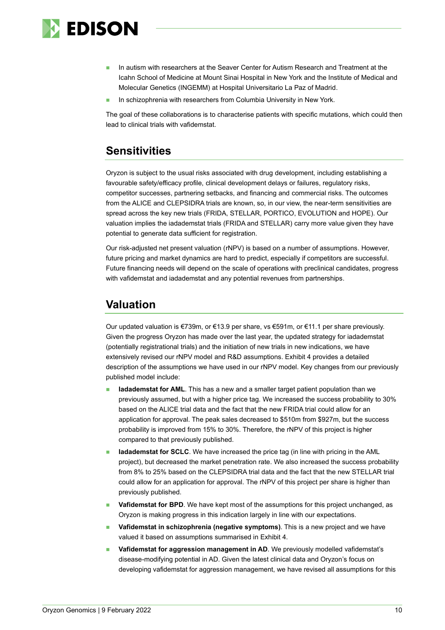

- In autism with researchers at the Seaver Center for Autism Research and Treatment at the Icahn School of Medicine at Mount Sinai Hospital in New York and the Institute of Medical and Molecular Genetics (INGEMM) at Hospital Universitario La Paz of Madrid.
- In schizophrenia with researchers from Columbia University in New York.

The goal of these collaborations is to characterise patients with specific mutations, which could then lead to clinical trials with vafidemstat.

## **Sensitivities**

Oryzon is subject to the usual risks associated with drug development, including establishing a favourable safety/efficacy profile, clinical development delays or failures, regulatory risks, competitor successes, partnering setbacks, and financing and commercial risks. The outcomes from the ALICE and CLEPSIDRA trials are known, so, in our view, the near-term sensitivities are spread across the key new trials (FRIDA, STELLAR, PORTICO, EVOLUTION and HOPE). Our valuation implies the iadademstat trials (FRIDA and STELLAR) carry more value given they have potential to generate data sufficient for registration.

Our risk-adjusted net present valuation (rNPV) is based on a number of assumptions. However, future pricing and market dynamics are hard to predict, especially if competitors are successful. Future financing needs will depend on the scale of operations with preclinical candidates, progress with vafidemstat and iadademstat and any potential revenues from partnerships.

## **Valuation**

Our updated valuation is €739m, or €13.9 per share, vs €591m, or €11.1 per share previously. Given the progress Oryzon has made over the last year, the updated strategy for iadademstat (potentially registrational trials) and the initiation of new trials in new indications, we have extensively revised our rNPV model and R&D assumptions. Exhibit 4 provides a detailed description of the assumptions we have used in our rNPV model. Key changes from our previously published model include:

- **Iadademstat for AML**. This has a new and a smaller target patient population than we previously assumed, but with a higher price tag. We increased the success probability to 30% based on the ALICE trial data and the fact that the new FRIDA trial could allow for an application for approval. The peak sales decreased to \$510m from \$927m, but the success probability is improved from 15% to 30%. Therefore, the rNPV of this project is higher compared to that previously published.
- **Iadademstat for SCLC**. We have increased the price tag (in line with pricing in the AML project), but decreased the market penetration rate. We also increased the success probability from 8% to 25% based on the CLEPSIDRA trial data and the fact that the new STELLAR trial could allow for an application for approval. The rNPV of this project per share is higher than previously published.
- **Vafidemstat for BPD**. We have kept most of the assumptions for this project unchanged, as Oryzon is making progress in this indication largely in line with our expectations.
- **Vafidemstat in schizophrenia (negative symptoms)**. This is a new project and we have valued it based on assumptions summarised in Exhibit 4.
- ◼ **Vafidemstat for aggression management in AD**. We previously modelled vafidemstat's disease-modifying potential in AD. Given the latest clinical data and Oryzon's focus on developing vafidemstat for aggression management, we have revised all assumptions for this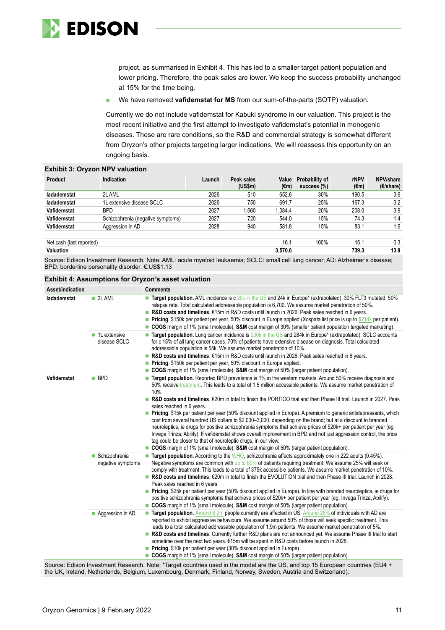

project, as summarised in Exhibit 4. This has led to a smaller target patient population and lower pricing. Therefore, the peak sales are lower. We keep the success probability unchanged at 15% for the time being.

We have removed **vafidemstat for MS** from our sum-of-the-parts (SOTP) valuation.

Currently we do not include vafidemstat for Kabuki syndrome in our valuation. This project is the most recent initiative and the first attempt to investigate vafidemstat's potential in monogenic diseases. These are rare conditions, so the R&D and commercial strategy is somewhat different from Oryzon's other projects targeting larger indications. We will reassess this opportunity on an ongoing basis.

| <b>Exhibit 3: Oryzon NPV valuation</b> |                                   |        |                             |               |                               |                     |                                 |
|----------------------------------------|-----------------------------------|--------|-----------------------------|---------------|-------------------------------|---------------------|---------------------------------|
| <b>Product</b>                         | Indication                        | Launch | Peak sales<br>$(US\$ fm $)$ | Value<br>(€m) | Probability of<br>success (%) | <b>rNPV</b><br>(€m) | NPV/share<br>$(E/\text{share})$ |
| ladademstat                            | 2L AML                            | 2026   | 510                         | 652.6         | 30%                           | 190.5               | 3.6                             |
| ladademstat                            | 1L extensive disease SCLC         | 2026   | 750                         | 691.7         | 25%                           | 167.3               | 3.2                             |
| Vafidemstat                            | <b>BPD</b>                        | 2027   | 1.660                       | 1.084.4       | 20%                           | 208.0               | 3.9                             |
| Vafidemstat                            | Schizophrenia (negative symptoms) | 2027   | 720                         | 544.0         | 15%                           | 74.3                | 1.4                             |
| Vafidemstat                            | Aggression in AD                  | 2028   | 940                         | 581.8         | 15%                           | 83.1                | 1.6                             |
| Net cash (last reported)               |                                   |        |                             | 16.1          | 100%                          | 16.1                | 0.3                             |
| Valuation                              |                                   |        |                             | 3.570.6       |                               | 739.3               | 13.9                            |

Source: Edison Investment Research. Note: AML: acute myeloid leukaemia; SCLC: small cell lung cancer; AD: Alzheimer's disease; BPD: borderline personality disorder. €:US\$1.13

#### **Exhibit 4: Assumptions for Oryzon's asset valuation**

| $\blacksquare$ 2L AML<br><b>Target population.</b> AML incidence is c 20k in the US and 24k in Europe <sup>*</sup> (extrapolated), 30% FLT3 mutated, 50%<br>ladademstat<br>relapse rate. Total calculated addressable population is 6,700. We assume market penetration of 50%.<br>R&D costs and timelines. $\epsilon$ 15m in R&D costs until launch in 2026. Peak sales reached in 6 years.<br><b>Pricing.</b> \$150k per patient per year, 50% discount in Europe applied (Xospata list price is up to \$214k per patient).<br>COGS margin of 1% (small molecule), S&M cost margin of 30% (smaller patient population targeted marketing).<br>■ 1L extensive<br>Target population. Lung cancer incidence is 236k in the US and 284k in Europe* (extrapolated). SCLC accounts<br>for c 15% of all lung cancer cases. 70% of patients have extensive disease on diagnosis. Total calculated<br>disease SCLC<br>addressable population is 55k. We assume market penetration of 10%.<br>R&D costs and timelines. $\epsilon$ 15m in R&D costs until launch in 2026. Peak sales reached in 6 years.<br>Pricing. \$150k per patient per year, 50% discount in Europe applied.<br>COGS margin of 1% (small molecule), S&M cost margin of 50% (larger patient population).<br>Target population. Reported BPD prevalence is 1% in the western markets. Around 50% receive diagnosis and<br>Vafidemstat<br>$\blacksquare$ BPD<br>$\Box$<br>50% receive treatment. This leads to a total of 1.5 million accessible patients. We assume market penetration of |
|-----------------------------------------------------------------------------------------------------------------------------------------------------------------------------------------------------------------------------------------------------------------------------------------------------------------------------------------------------------------------------------------------------------------------------------------------------------------------------------------------------------------------------------------------------------------------------------------------------------------------------------------------------------------------------------------------------------------------------------------------------------------------------------------------------------------------------------------------------------------------------------------------------------------------------------------------------------------------------------------------------------------------------------------------------------------------------------------------------------------------------------------------------------------------------------------------------------------------------------------------------------------------------------------------------------------------------------------------------------------------------------------------------------------------------------------------------------------------------------------------------------------------------------------------------|
|                                                                                                                                                                                                                                                                                                                                                                                                                                                                                                                                                                                                                                                                                                                                                                                                                                                                                                                                                                                                                                                                                                                                                                                                                                                                                                                                                                                                                                                                                                                                                     |
|                                                                                                                                                                                                                                                                                                                                                                                                                                                                                                                                                                                                                                                                                                                                                                                                                                                                                                                                                                                                                                                                                                                                                                                                                                                                                                                                                                                                                                                                                                                                                     |
| 10%.<br><b>R&amp;D costs and timelines.</b> $\epsilon$ 20m in total to finish the PORTICO trial and then Phase III trial. Launch in 2027. Peak<br>sales reached in 6 years.<br>Pricing. \$15k per patient per year (50% discount applied in Europe). A premium to generic antidepressants, which<br>cost from several hundred US dollars to \$2,000-3,000, depending on the brand; but at a discount to branded<br>neuroleptics, ie drugs for positive schizophrenia symptoms that achieve prices of \$20k+ per patient per year (eq<br>Invega Trinza, Abilify). If vafidemstat shows overall improvement in BPD and not just aggression control, the price<br>tag could be closer to that of neuroleptic drugs, in our view.<br>■ COGS margin of 1% (small molecule), S&M cost margin of 50% (larger patient population).                                                                                                                                                                                                                                                                                                                                                                                                                                                                                                                                                                                                                                                                                                                          |
| Target population. According to the WHO, schizophrenia affects approximately one in 222 adults (0.45%).<br>Schizophrenia<br>$\Box$<br>Negative symptoms are common with up to 60% of patients requiring treatment. We assume 25% will seek or<br>negative symptoms<br>comply with treatment. This leads to a total of 375k accessible patients. We assume market penetration of 10%.<br>■ R&D costs and timelines. €20m in total to finish the EVOLUTION trial and then Phase III trial. Launch in 2028.<br>Peak sales reached in 6 years.<br><b>Pricing.</b> \$25k per patient per year (50% discount applied in Europe). In line with branded neuroleptics, ie drugs for<br>positive schizophrenia symptoms that achieve prices of \$20k+ per patient per year (eg, Invega Trinza, Abilify).<br>■ COGS margin of 1% (small molecule), S&M cost margin of 50% (larger patient population).                                                                                                                                                                                                                                                                                                                                                                                                                                                                                                                                                                                                                                                         |
| Target population. Around 6.2m people currently are affected in US. Around 28% of individuals with AD are<br>Aggression in AD<br>П<br>reported to exhibit aggressive behaviours. We assume around 50% of those will seek specific treatment. This<br>leads to a total calculated addressable population of 1.9m patients. We assume market penetration of 5%.<br>R&D costs and timelines. Currently further R&D plans are not announced yet. We assume Phase III trial to start<br>sometime over the next two years. €15m will be spent in R&D costs before launch in 2028.<br><b>Pricing.</b> \$10k per patient per year (30% discount applied in Europe).<br>■ COGS margin of 1% (small molecule), S&M cost margin of 50% (larger patient population).<br>Source: Edison Investment Research. Note: *Target countries used in the model are the US, and top 15 European countries (EU4 +                                                                                                                                                                                                                                                                                                                                                                                                                                                                                                                                                                                                                                                          |

the UK, Ireland, Netherlands, Belgium, Luxembourg, Denmark, Finland, Norway, Sweden, Austria and Switzerland).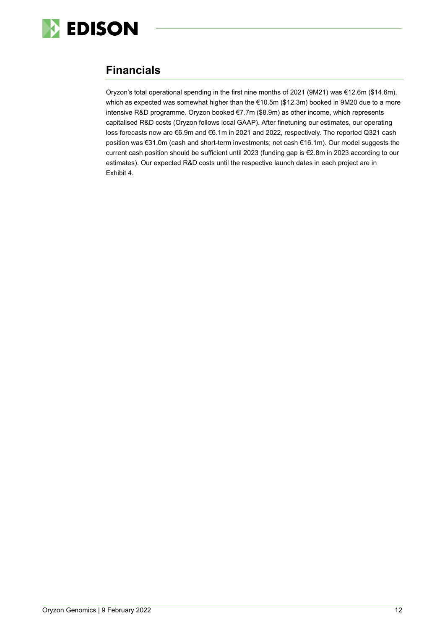

## **Financials**

Oryzon's total operational spending in the first nine months of 2021 (9M21) was €12.6m (\$14.6m), which as expected was somewhat higher than the €10.5m (\$12.3m) booked in 9M20 due to a more intensive R&D programme. Oryzon booked €7.7m (\$8.9m) as other income, which represents capitalised R&D costs (Oryzon follows local GAAP). After finetuning our estimates, our operating loss forecasts now are €6.9m and €6.1m in 2021 and 2022, respectively. The reported Q321 cash position was €31.0m (cash and short-term investments; net cash €16.1m). Our model suggests the current cash position should be sufficient until 2023 (funding gap is €2.8m in 2023 according to our estimates). Our expected R&D costs until the respective launch dates in each project are in Exhibit 4.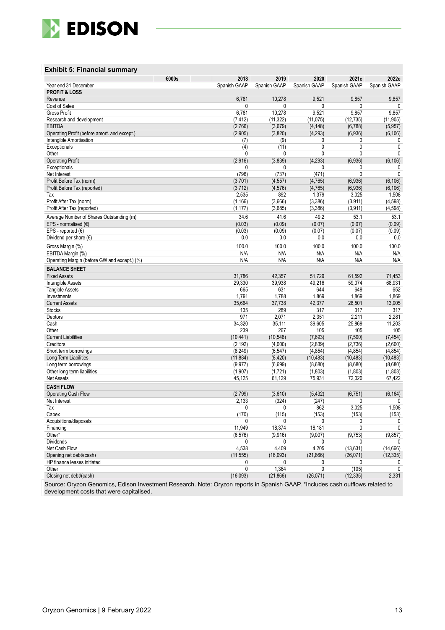

#### **Exhibit 5: Financial summary**

| Year end 31 December<br>Spanish GAAP<br>Spanish GAAP<br>Spanish GAAP<br>Spanish GAAP<br>Spanish GAAP<br><b>PROFIT &amp; LOSS</b><br>9,521<br>9,857<br>6,781<br>10,278<br>9,857<br>Revenue<br><b>Cost of Sales</b><br>0<br>0<br>0<br>0<br>6,781<br>10,278<br>9,521<br>9,857<br>9,857<br>Gross Profit<br>(7, 412)<br>(11, 322)<br>(11, 075)<br>(12, 735)<br>(11, 905)<br>Research and development<br>(2,766)<br>(3,679)<br>(4, 148)<br>(6,788)<br><b>EBITDA</b><br>(5,957)<br>(2,905)<br>(3,820)<br>(4, 293)<br>(6,936)<br>Operating Profit (before amort. and except.)<br>(6, 106)<br>(9)<br>Intangible Amortisation<br>(7)<br>0<br>0<br>0<br>0<br>(4)<br>(11)<br>0<br>Exceptionals<br>0<br>Other<br>0<br>0<br>$\mathbf{0}$<br>0<br>0<br>(2,916)<br>(3,839)<br>(4,293)<br>(6,936)<br>(6, 106)<br><b>Operating Profit</b><br>0<br>0<br>0<br>Exceptionals<br>0<br>0<br>$\mathbf{0}$<br>Net Interest<br>(796)<br>(737)<br>(471)<br>$\mathbf{0}$<br>(3,701)<br>(4, 557)<br>(4,765)<br>(6,936)<br>(6, 106)<br>Profit Before Tax (norm)<br>(3,712)<br>(4, 576)<br>(4, 765)<br>(6,936)<br>(6, 106)<br>Profit Before Tax (reported)<br>2,535<br>892<br>1,379<br>3,025<br>1,508<br>Tax<br>(3, 386)<br>Profit After Tax (norm)<br>(1, 166)<br>(3,666)<br>(3,911)<br>(4, 598)<br>Profit After Tax (reported)<br>(3,386)<br>(1, 177)<br>(3,685)<br>(3,911)<br>(4,598)<br>41.6<br>49.2<br>34.6<br>53.1<br>53.1<br>Average Number of Shares Outstanding (m)<br>(0.03)<br>(0.07)<br>EPS - normalised $(E)$<br>(0.09)<br>(0.07)<br>(0.09)<br>EPS - reported $(\epsilon)$<br>(0.03)<br>(0.09)<br>(0.07)<br>(0.07)<br>(0.09)<br>Dividend per share $(\epsilon)$<br>0.0<br>0.0<br>0.0<br>0.0<br>0.0<br>100.0<br>100.0<br>100.0<br>100.0<br>100.0<br>Gross Margin (%)<br>EBITDA Margin (%)<br>N/A<br>N/A<br>N/A<br>N/A<br>N/A<br>N/A<br>N/A<br>N/A<br>N/A<br>N/A<br>Operating Margin (before GW and except.) (%)<br><b>BALANCE SHEET</b><br>31,786<br>42,357<br>51,729<br>61,592<br><b>Fixed Assets</b><br>71,453<br>29,330<br>39,938<br>49,216<br>59,074<br>68,931<br>Intangible Assets<br>665<br>631<br>644<br>649<br>652<br><b>Tangible Assets</b><br>1,791<br>1,788<br>1,869<br>1,869<br>1,869<br>Investments<br>35,664<br>37,738<br>42,377<br>28,501<br>13,905<br><b>Current Assets</b><br>135<br>289<br>317<br>317<br><b>Stocks</b><br>317<br>971<br>2,071<br>2,351<br>2,211<br>Debtors<br>2,281<br>Cash<br>34,320<br>35,111<br>39,605<br>25,869<br>11,203<br>267<br>Other<br>239<br>105<br>105<br>105<br><b>Current Liabilities</b><br>(10, 441)<br>(10, 546)<br>(7,693)<br>(7,590)<br>(7, 454)<br>Creditors<br>(2,600)<br>(2, 192)<br>(4,000)<br>(2,839)<br>(2,736)<br>(8, 249)<br>(4, 854)<br>(4, 854)<br>(4, 854)<br>Short term borrowings<br>(6, 547)<br>(11, 884)<br>(8, 420)<br>(10, 483)<br>(10, 483)<br>(10, 483)<br>Long Term Liabilities<br>(9, 977)<br>(6,699)<br>(8,680)<br>(8,680)<br>(8,680)<br>Long term borrowings<br>(1,907)<br>(1,721)<br>(1,803)<br>(1,803)<br>(1,803)<br>Other long term liabilities<br>Net Assets<br>45,125<br>75,931<br>72,020<br>67,422<br>61,129<br><b>CASH FLOW</b><br>(2,799)<br>(3,610)<br>(5, 432)<br>(6, 751)<br>Operating Cash Flow<br>(6, 164)<br>(324)<br>2,133<br>(247)<br>Net Interest<br>0<br>0<br>862<br>3,025<br>1,508<br>$\Omega$<br>Tax<br>0<br>(170)<br>(115)<br>(153)<br>(153)<br>(153)<br>Capex<br>Acquisitions/disposals<br>0<br>0<br>0<br>0<br>0<br>11,949<br>18,374<br>Financing<br>18,181<br>0<br>0<br>Other*<br>(9,916)<br>(6, 576)<br>(9,007)<br>(9,753)<br>(9, 857)<br><b>Dividends</b><br>0<br>0<br>0<br>0<br>4,538<br>4,409<br>4,205<br>Net Cash Flow<br>(13, 631)<br>(14,666)<br>Opening net debt/(cash)<br>(11, 555)<br>(16,093)<br>(21, 866)<br>(26,071)<br>(12, 335)<br>HP finance leases initiated<br>0<br>0<br>0<br>0<br>0<br>0<br>1,364<br>0<br>Other<br>(105)<br>0<br>Closing net debt/(cash)<br>(16,093)<br>(21, 866)<br>(26, 071)<br>(12, 335)<br>2,331<br>Source: Oryzon Genomics, Edison Investment Research, Note: Oryzon reports in Spanish GAAP *Includes cash outflows related to | €000s<br>2018 | 2019 | 2020 | 2021e | 2022e |
|--------------------------------------------------------------------------------------------------------------------------------------------------------------------------------------------------------------------------------------------------------------------------------------------------------------------------------------------------------------------------------------------------------------------------------------------------------------------------------------------------------------------------------------------------------------------------------------------------------------------------------------------------------------------------------------------------------------------------------------------------------------------------------------------------------------------------------------------------------------------------------------------------------------------------------------------------------------------------------------------------------------------------------------------------------------------------------------------------------------------------------------------------------------------------------------------------------------------------------------------------------------------------------------------------------------------------------------------------------------------------------------------------------------------------------------------------------------------------------------------------------------------------------------------------------------------------------------------------------------------------------------------------------------------------------------------------------------------------------------------------------------------------------------------------------------------------------------------------------------------------------------------------------------------------------------------------------------------------------------------------------------------------------------------------------------------------------------------------------------------------------------------------------------------------------------------------------------------------------------------------------------------------------------------------------------------------------------------------------------------------------------------------------------------------------------------------------------------------------------------------------------------------------------------------------------------------------------------------------------------------------------------------------------------------------------------------------------------------------------------------------------------------------------------------------------------------------------------------------------------------------------------------------------------------------------------------------------------------------------------------------------------------------------------------------------------------------------------------------------------------------------------------------------------------------------------------------------------------------------------------------------------------------------------------------------------------------------------------------------------------------------------------------------------------------------------------------------------------------------------------------------------------------------------------------------------------------------------------------------------------------------------------------------------------------------------------------------------------------------------------------------------------------------------------------------------------------------------------------------------------------------------------------------------------------------------------------------------------------------------------------------------------------------------------------|---------------|------|------|-------|-------|
|                                                                                                                                                                                                                                                                                                                                                                                                                                                                                                                                                                                                                                                                                                                                                                                                                                                                                                                                                                                                                                                                                                                                                                                                                                                                                                                                                                                                                                                                                                                                                                                                                                                                                                                                                                                                                                                                                                                                                                                                                                                                                                                                                                                                                                                                                                                                                                                                                                                                                                                                                                                                                                                                                                                                                                                                                                                                                                                                                                                                                                                                                                                                                                                                                                                                                                                                                                                                                                                                                                                                                                                                                                                                                                                                                                                                                                                                                                                                                                                                                                                        |               |      |      |       |       |
|                                                                                                                                                                                                                                                                                                                                                                                                                                                                                                                                                                                                                                                                                                                                                                                                                                                                                                                                                                                                                                                                                                                                                                                                                                                                                                                                                                                                                                                                                                                                                                                                                                                                                                                                                                                                                                                                                                                                                                                                                                                                                                                                                                                                                                                                                                                                                                                                                                                                                                                                                                                                                                                                                                                                                                                                                                                                                                                                                                                                                                                                                                                                                                                                                                                                                                                                                                                                                                                                                                                                                                                                                                                                                                                                                                                                                                                                                                                                                                                                                                                        |               |      |      |       |       |
|                                                                                                                                                                                                                                                                                                                                                                                                                                                                                                                                                                                                                                                                                                                                                                                                                                                                                                                                                                                                                                                                                                                                                                                                                                                                                                                                                                                                                                                                                                                                                                                                                                                                                                                                                                                                                                                                                                                                                                                                                                                                                                                                                                                                                                                                                                                                                                                                                                                                                                                                                                                                                                                                                                                                                                                                                                                                                                                                                                                                                                                                                                                                                                                                                                                                                                                                                                                                                                                                                                                                                                                                                                                                                                                                                                                                                                                                                                                                                                                                                                                        |               |      |      |       |       |
|                                                                                                                                                                                                                                                                                                                                                                                                                                                                                                                                                                                                                                                                                                                                                                                                                                                                                                                                                                                                                                                                                                                                                                                                                                                                                                                                                                                                                                                                                                                                                                                                                                                                                                                                                                                                                                                                                                                                                                                                                                                                                                                                                                                                                                                                                                                                                                                                                                                                                                                                                                                                                                                                                                                                                                                                                                                                                                                                                                                                                                                                                                                                                                                                                                                                                                                                                                                                                                                                                                                                                                                                                                                                                                                                                                                                                                                                                                                                                                                                                                                        |               |      |      |       |       |
|                                                                                                                                                                                                                                                                                                                                                                                                                                                                                                                                                                                                                                                                                                                                                                                                                                                                                                                                                                                                                                                                                                                                                                                                                                                                                                                                                                                                                                                                                                                                                                                                                                                                                                                                                                                                                                                                                                                                                                                                                                                                                                                                                                                                                                                                                                                                                                                                                                                                                                                                                                                                                                                                                                                                                                                                                                                                                                                                                                                                                                                                                                                                                                                                                                                                                                                                                                                                                                                                                                                                                                                                                                                                                                                                                                                                                                                                                                                                                                                                                                                        |               |      |      |       |       |
|                                                                                                                                                                                                                                                                                                                                                                                                                                                                                                                                                                                                                                                                                                                                                                                                                                                                                                                                                                                                                                                                                                                                                                                                                                                                                                                                                                                                                                                                                                                                                                                                                                                                                                                                                                                                                                                                                                                                                                                                                                                                                                                                                                                                                                                                                                                                                                                                                                                                                                                                                                                                                                                                                                                                                                                                                                                                                                                                                                                                                                                                                                                                                                                                                                                                                                                                                                                                                                                                                                                                                                                                                                                                                                                                                                                                                                                                                                                                                                                                                                                        |               |      |      |       |       |
|                                                                                                                                                                                                                                                                                                                                                                                                                                                                                                                                                                                                                                                                                                                                                                                                                                                                                                                                                                                                                                                                                                                                                                                                                                                                                                                                                                                                                                                                                                                                                                                                                                                                                                                                                                                                                                                                                                                                                                                                                                                                                                                                                                                                                                                                                                                                                                                                                                                                                                                                                                                                                                                                                                                                                                                                                                                                                                                                                                                                                                                                                                                                                                                                                                                                                                                                                                                                                                                                                                                                                                                                                                                                                                                                                                                                                                                                                                                                                                                                                                                        |               |      |      |       |       |
|                                                                                                                                                                                                                                                                                                                                                                                                                                                                                                                                                                                                                                                                                                                                                                                                                                                                                                                                                                                                                                                                                                                                                                                                                                                                                                                                                                                                                                                                                                                                                                                                                                                                                                                                                                                                                                                                                                                                                                                                                                                                                                                                                                                                                                                                                                                                                                                                                                                                                                                                                                                                                                                                                                                                                                                                                                                                                                                                                                                                                                                                                                                                                                                                                                                                                                                                                                                                                                                                                                                                                                                                                                                                                                                                                                                                                                                                                                                                                                                                                                                        |               |      |      |       |       |
|                                                                                                                                                                                                                                                                                                                                                                                                                                                                                                                                                                                                                                                                                                                                                                                                                                                                                                                                                                                                                                                                                                                                                                                                                                                                                                                                                                                                                                                                                                                                                                                                                                                                                                                                                                                                                                                                                                                                                                                                                                                                                                                                                                                                                                                                                                                                                                                                                                                                                                                                                                                                                                                                                                                                                                                                                                                                                                                                                                                                                                                                                                                                                                                                                                                                                                                                                                                                                                                                                                                                                                                                                                                                                                                                                                                                                                                                                                                                                                                                                                                        |               |      |      |       |       |
|                                                                                                                                                                                                                                                                                                                                                                                                                                                                                                                                                                                                                                                                                                                                                                                                                                                                                                                                                                                                                                                                                                                                                                                                                                                                                                                                                                                                                                                                                                                                                                                                                                                                                                                                                                                                                                                                                                                                                                                                                                                                                                                                                                                                                                                                                                                                                                                                                                                                                                                                                                                                                                                                                                                                                                                                                                                                                                                                                                                                                                                                                                                                                                                                                                                                                                                                                                                                                                                                                                                                                                                                                                                                                                                                                                                                                                                                                                                                                                                                                                                        |               |      |      |       |       |
|                                                                                                                                                                                                                                                                                                                                                                                                                                                                                                                                                                                                                                                                                                                                                                                                                                                                                                                                                                                                                                                                                                                                                                                                                                                                                                                                                                                                                                                                                                                                                                                                                                                                                                                                                                                                                                                                                                                                                                                                                                                                                                                                                                                                                                                                                                                                                                                                                                                                                                                                                                                                                                                                                                                                                                                                                                                                                                                                                                                                                                                                                                                                                                                                                                                                                                                                                                                                                                                                                                                                                                                                                                                                                                                                                                                                                                                                                                                                                                                                                                                        |               |      |      |       |       |
|                                                                                                                                                                                                                                                                                                                                                                                                                                                                                                                                                                                                                                                                                                                                                                                                                                                                                                                                                                                                                                                                                                                                                                                                                                                                                                                                                                                                                                                                                                                                                                                                                                                                                                                                                                                                                                                                                                                                                                                                                                                                                                                                                                                                                                                                                                                                                                                                                                                                                                                                                                                                                                                                                                                                                                                                                                                                                                                                                                                                                                                                                                                                                                                                                                                                                                                                                                                                                                                                                                                                                                                                                                                                                                                                                                                                                                                                                                                                                                                                                                                        |               |      |      |       |       |
|                                                                                                                                                                                                                                                                                                                                                                                                                                                                                                                                                                                                                                                                                                                                                                                                                                                                                                                                                                                                                                                                                                                                                                                                                                                                                                                                                                                                                                                                                                                                                                                                                                                                                                                                                                                                                                                                                                                                                                                                                                                                                                                                                                                                                                                                                                                                                                                                                                                                                                                                                                                                                                                                                                                                                                                                                                                                                                                                                                                                                                                                                                                                                                                                                                                                                                                                                                                                                                                                                                                                                                                                                                                                                                                                                                                                                                                                                                                                                                                                                                                        |               |      |      |       |       |
|                                                                                                                                                                                                                                                                                                                                                                                                                                                                                                                                                                                                                                                                                                                                                                                                                                                                                                                                                                                                                                                                                                                                                                                                                                                                                                                                                                                                                                                                                                                                                                                                                                                                                                                                                                                                                                                                                                                                                                                                                                                                                                                                                                                                                                                                                                                                                                                                                                                                                                                                                                                                                                                                                                                                                                                                                                                                                                                                                                                                                                                                                                                                                                                                                                                                                                                                                                                                                                                                                                                                                                                                                                                                                                                                                                                                                                                                                                                                                                                                                                                        |               |      |      |       |       |
|                                                                                                                                                                                                                                                                                                                                                                                                                                                                                                                                                                                                                                                                                                                                                                                                                                                                                                                                                                                                                                                                                                                                                                                                                                                                                                                                                                                                                                                                                                                                                                                                                                                                                                                                                                                                                                                                                                                                                                                                                                                                                                                                                                                                                                                                                                                                                                                                                                                                                                                                                                                                                                                                                                                                                                                                                                                                                                                                                                                                                                                                                                                                                                                                                                                                                                                                                                                                                                                                                                                                                                                                                                                                                                                                                                                                                                                                                                                                                                                                                                                        |               |      |      |       |       |
|                                                                                                                                                                                                                                                                                                                                                                                                                                                                                                                                                                                                                                                                                                                                                                                                                                                                                                                                                                                                                                                                                                                                                                                                                                                                                                                                                                                                                                                                                                                                                                                                                                                                                                                                                                                                                                                                                                                                                                                                                                                                                                                                                                                                                                                                                                                                                                                                                                                                                                                                                                                                                                                                                                                                                                                                                                                                                                                                                                                                                                                                                                                                                                                                                                                                                                                                                                                                                                                                                                                                                                                                                                                                                                                                                                                                                                                                                                                                                                                                                                                        |               |      |      |       |       |
|                                                                                                                                                                                                                                                                                                                                                                                                                                                                                                                                                                                                                                                                                                                                                                                                                                                                                                                                                                                                                                                                                                                                                                                                                                                                                                                                                                                                                                                                                                                                                                                                                                                                                                                                                                                                                                                                                                                                                                                                                                                                                                                                                                                                                                                                                                                                                                                                                                                                                                                                                                                                                                                                                                                                                                                                                                                                                                                                                                                                                                                                                                                                                                                                                                                                                                                                                                                                                                                                                                                                                                                                                                                                                                                                                                                                                                                                                                                                                                                                                                                        |               |      |      |       |       |
|                                                                                                                                                                                                                                                                                                                                                                                                                                                                                                                                                                                                                                                                                                                                                                                                                                                                                                                                                                                                                                                                                                                                                                                                                                                                                                                                                                                                                                                                                                                                                                                                                                                                                                                                                                                                                                                                                                                                                                                                                                                                                                                                                                                                                                                                                                                                                                                                                                                                                                                                                                                                                                                                                                                                                                                                                                                                                                                                                                                                                                                                                                                                                                                                                                                                                                                                                                                                                                                                                                                                                                                                                                                                                                                                                                                                                                                                                                                                                                                                                                                        |               |      |      |       |       |
|                                                                                                                                                                                                                                                                                                                                                                                                                                                                                                                                                                                                                                                                                                                                                                                                                                                                                                                                                                                                                                                                                                                                                                                                                                                                                                                                                                                                                                                                                                                                                                                                                                                                                                                                                                                                                                                                                                                                                                                                                                                                                                                                                                                                                                                                                                                                                                                                                                                                                                                                                                                                                                                                                                                                                                                                                                                                                                                                                                                                                                                                                                                                                                                                                                                                                                                                                                                                                                                                                                                                                                                                                                                                                                                                                                                                                                                                                                                                                                                                                                                        |               |      |      |       |       |
|                                                                                                                                                                                                                                                                                                                                                                                                                                                                                                                                                                                                                                                                                                                                                                                                                                                                                                                                                                                                                                                                                                                                                                                                                                                                                                                                                                                                                                                                                                                                                                                                                                                                                                                                                                                                                                                                                                                                                                                                                                                                                                                                                                                                                                                                                                                                                                                                                                                                                                                                                                                                                                                                                                                                                                                                                                                                                                                                                                                                                                                                                                                                                                                                                                                                                                                                                                                                                                                                                                                                                                                                                                                                                                                                                                                                                                                                                                                                                                                                                                                        |               |      |      |       |       |
|                                                                                                                                                                                                                                                                                                                                                                                                                                                                                                                                                                                                                                                                                                                                                                                                                                                                                                                                                                                                                                                                                                                                                                                                                                                                                                                                                                                                                                                                                                                                                                                                                                                                                                                                                                                                                                                                                                                                                                                                                                                                                                                                                                                                                                                                                                                                                                                                                                                                                                                                                                                                                                                                                                                                                                                                                                                                                                                                                                                                                                                                                                                                                                                                                                                                                                                                                                                                                                                                                                                                                                                                                                                                                                                                                                                                                                                                                                                                                                                                                                                        |               |      |      |       |       |
|                                                                                                                                                                                                                                                                                                                                                                                                                                                                                                                                                                                                                                                                                                                                                                                                                                                                                                                                                                                                                                                                                                                                                                                                                                                                                                                                                                                                                                                                                                                                                                                                                                                                                                                                                                                                                                                                                                                                                                                                                                                                                                                                                                                                                                                                                                                                                                                                                                                                                                                                                                                                                                                                                                                                                                                                                                                                                                                                                                                                                                                                                                                                                                                                                                                                                                                                                                                                                                                                                                                                                                                                                                                                                                                                                                                                                                                                                                                                                                                                                                                        |               |      |      |       |       |
|                                                                                                                                                                                                                                                                                                                                                                                                                                                                                                                                                                                                                                                                                                                                                                                                                                                                                                                                                                                                                                                                                                                                                                                                                                                                                                                                                                                                                                                                                                                                                                                                                                                                                                                                                                                                                                                                                                                                                                                                                                                                                                                                                                                                                                                                                                                                                                                                                                                                                                                                                                                                                                                                                                                                                                                                                                                                                                                                                                                                                                                                                                                                                                                                                                                                                                                                                                                                                                                                                                                                                                                                                                                                                                                                                                                                                                                                                                                                                                                                                                                        |               |      |      |       |       |
|                                                                                                                                                                                                                                                                                                                                                                                                                                                                                                                                                                                                                                                                                                                                                                                                                                                                                                                                                                                                                                                                                                                                                                                                                                                                                                                                                                                                                                                                                                                                                                                                                                                                                                                                                                                                                                                                                                                                                                                                                                                                                                                                                                                                                                                                                                                                                                                                                                                                                                                                                                                                                                                                                                                                                                                                                                                                                                                                                                                                                                                                                                                                                                                                                                                                                                                                                                                                                                                                                                                                                                                                                                                                                                                                                                                                                                                                                                                                                                                                                                                        |               |      |      |       |       |
|                                                                                                                                                                                                                                                                                                                                                                                                                                                                                                                                                                                                                                                                                                                                                                                                                                                                                                                                                                                                                                                                                                                                                                                                                                                                                                                                                                                                                                                                                                                                                                                                                                                                                                                                                                                                                                                                                                                                                                                                                                                                                                                                                                                                                                                                                                                                                                                                                                                                                                                                                                                                                                                                                                                                                                                                                                                                                                                                                                                                                                                                                                                                                                                                                                                                                                                                                                                                                                                                                                                                                                                                                                                                                                                                                                                                                                                                                                                                                                                                                                                        |               |      |      |       |       |
|                                                                                                                                                                                                                                                                                                                                                                                                                                                                                                                                                                                                                                                                                                                                                                                                                                                                                                                                                                                                                                                                                                                                                                                                                                                                                                                                                                                                                                                                                                                                                                                                                                                                                                                                                                                                                                                                                                                                                                                                                                                                                                                                                                                                                                                                                                                                                                                                                                                                                                                                                                                                                                                                                                                                                                                                                                                                                                                                                                                                                                                                                                                                                                                                                                                                                                                                                                                                                                                                                                                                                                                                                                                                                                                                                                                                                                                                                                                                                                                                                                                        |               |      |      |       |       |
|                                                                                                                                                                                                                                                                                                                                                                                                                                                                                                                                                                                                                                                                                                                                                                                                                                                                                                                                                                                                                                                                                                                                                                                                                                                                                                                                                                                                                                                                                                                                                                                                                                                                                                                                                                                                                                                                                                                                                                                                                                                                                                                                                                                                                                                                                                                                                                                                                                                                                                                                                                                                                                                                                                                                                                                                                                                                                                                                                                                                                                                                                                                                                                                                                                                                                                                                                                                                                                                                                                                                                                                                                                                                                                                                                                                                                                                                                                                                                                                                                                                        |               |      |      |       |       |
|                                                                                                                                                                                                                                                                                                                                                                                                                                                                                                                                                                                                                                                                                                                                                                                                                                                                                                                                                                                                                                                                                                                                                                                                                                                                                                                                                                                                                                                                                                                                                                                                                                                                                                                                                                                                                                                                                                                                                                                                                                                                                                                                                                                                                                                                                                                                                                                                                                                                                                                                                                                                                                                                                                                                                                                                                                                                                                                                                                                                                                                                                                                                                                                                                                                                                                                                                                                                                                                                                                                                                                                                                                                                                                                                                                                                                                                                                                                                                                                                                                                        |               |      |      |       |       |
|                                                                                                                                                                                                                                                                                                                                                                                                                                                                                                                                                                                                                                                                                                                                                                                                                                                                                                                                                                                                                                                                                                                                                                                                                                                                                                                                                                                                                                                                                                                                                                                                                                                                                                                                                                                                                                                                                                                                                                                                                                                                                                                                                                                                                                                                                                                                                                                                                                                                                                                                                                                                                                                                                                                                                                                                                                                                                                                                                                                                                                                                                                                                                                                                                                                                                                                                                                                                                                                                                                                                                                                                                                                                                                                                                                                                                                                                                                                                                                                                                                                        |               |      |      |       |       |
|                                                                                                                                                                                                                                                                                                                                                                                                                                                                                                                                                                                                                                                                                                                                                                                                                                                                                                                                                                                                                                                                                                                                                                                                                                                                                                                                                                                                                                                                                                                                                                                                                                                                                                                                                                                                                                                                                                                                                                                                                                                                                                                                                                                                                                                                                                                                                                                                                                                                                                                                                                                                                                                                                                                                                                                                                                                                                                                                                                                                                                                                                                                                                                                                                                                                                                                                                                                                                                                                                                                                                                                                                                                                                                                                                                                                                                                                                                                                                                                                                                                        |               |      |      |       |       |
|                                                                                                                                                                                                                                                                                                                                                                                                                                                                                                                                                                                                                                                                                                                                                                                                                                                                                                                                                                                                                                                                                                                                                                                                                                                                                                                                                                                                                                                                                                                                                                                                                                                                                                                                                                                                                                                                                                                                                                                                                                                                                                                                                                                                                                                                                                                                                                                                                                                                                                                                                                                                                                                                                                                                                                                                                                                                                                                                                                                                                                                                                                                                                                                                                                                                                                                                                                                                                                                                                                                                                                                                                                                                                                                                                                                                                                                                                                                                                                                                                                                        |               |      |      |       |       |
|                                                                                                                                                                                                                                                                                                                                                                                                                                                                                                                                                                                                                                                                                                                                                                                                                                                                                                                                                                                                                                                                                                                                                                                                                                                                                                                                                                                                                                                                                                                                                                                                                                                                                                                                                                                                                                                                                                                                                                                                                                                                                                                                                                                                                                                                                                                                                                                                                                                                                                                                                                                                                                                                                                                                                                                                                                                                                                                                                                                                                                                                                                                                                                                                                                                                                                                                                                                                                                                                                                                                                                                                                                                                                                                                                                                                                                                                                                                                                                                                                                                        |               |      |      |       |       |
|                                                                                                                                                                                                                                                                                                                                                                                                                                                                                                                                                                                                                                                                                                                                                                                                                                                                                                                                                                                                                                                                                                                                                                                                                                                                                                                                                                                                                                                                                                                                                                                                                                                                                                                                                                                                                                                                                                                                                                                                                                                                                                                                                                                                                                                                                                                                                                                                                                                                                                                                                                                                                                                                                                                                                                                                                                                                                                                                                                                                                                                                                                                                                                                                                                                                                                                                                                                                                                                                                                                                                                                                                                                                                                                                                                                                                                                                                                                                                                                                                                                        |               |      |      |       |       |
|                                                                                                                                                                                                                                                                                                                                                                                                                                                                                                                                                                                                                                                                                                                                                                                                                                                                                                                                                                                                                                                                                                                                                                                                                                                                                                                                                                                                                                                                                                                                                                                                                                                                                                                                                                                                                                                                                                                                                                                                                                                                                                                                                                                                                                                                                                                                                                                                                                                                                                                                                                                                                                                                                                                                                                                                                                                                                                                                                                                                                                                                                                                                                                                                                                                                                                                                                                                                                                                                                                                                                                                                                                                                                                                                                                                                                                                                                                                                                                                                                                                        |               |      |      |       |       |
|                                                                                                                                                                                                                                                                                                                                                                                                                                                                                                                                                                                                                                                                                                                                                                                                                                                                                                                                                                                                                                                                                                                                                                                                                                                                                                                                                                                                                                                                                                                                                                                                                                                                                                                                                                                                                                                                                                                                                                                                                                                                                                                                                                                                                                                                                                                                                                                                                                                                                                                                                                                                                                                                                                                                                                                                                                                                                                                                                                                                                                                                                                                                                                                                                                                                                                                                                                                                                                                                                                                                                                                                                                                                                                                                                                                                                                                                                                                                                                                                                                                        |               |      |      |       |       |
|                                                                                                                                                                                                                                                                                                                                                                                                                                                                                                                                                                                                                                                                                                                                                                                                                                                                                                                                                                                                                                                                                                                                                                                                                                                                                                                                                                                                                                                                                                                                                                                                                                                                                                                                                                                                                                                                                                                                                                                                                                                                                                                                                                                                                                                                                                                                                                                                                                                                                                                                                                                                                                                                                                                                                                                                                                                                                                                                                                                                                                                                                                                                                                                                                                                                                                                                                                                                                                                                                                                                                                                                                                                                                                                                                                                                                                                                                                                                                                                                                                                        |               |      |      |       |       |
|                                                                                                                                                                                                                                                                                                                                                                                                                                                                                                                                                                                                                                                                                                                                                                                                                                                                                                                                                                                                                                                                                                                                                                                                                                                                                                                                                                                                                                                                                                                                                                                                                                                                                                                                                                                                                                                                                                                                                                                                                                                                                                                                                                                                                                                                                                                                                                                                                                                                                                                                                                                                                                                                                                                                                                                                                                                                                                                                                                                                                                                                                                                                                                                                                                                                                                                                                                                                                                                                                                                                                                                                                                                                                                                                                                                                                                                                                                                                                                                                                                                        |               |      |      |       |       |
|                                                                                                                                                                                                                                                                                                                                                                                                                                                                                                                                                                                                                                                                                                                                                                                                                                                                                                                                                                                                                                                                                                                                                                                                                                                                                                                                                                                                                                                                                                                                                                                                                                                                                                                                                                                                                                                                                                                                                                                                                                                                                                                                                                                                                                                                                                                                                                                                                                                                                                                                                                                                                                                                                                                                                                                                                                                                                                                                                                                                                                                                                                                                                                                                                                                                                                                                                                                                                                                                                                                                                                                                                                                                                                                                                                                                                                                                                                                                                                                                                                                        |               |      |      |       |       |
|                                                                                                                                                                                                                                                                                                                                                                                                                                                                                                                                                                                                                                                                                                                                                                                                                                                                                                                                                                                                                                                                                                                                                                                                                                                                                                                                                                                                                                                                                                                                                                                                                                                                                                                                                                                                                                                                                                                                                                                                                                                                                                                                                                                                                                                                                                                                                                                                                                                                                                                                                                                                                                                                                                                                                                                                                                                                                                                                                                                                                                                                                                                                                                                                                                                                                                                                                                                                                                                                                                                                                                                                                                                                                                                                                                                                                                                                                                                                                                                                                                                        |               |      |      |       |       |
|                                                                                                                                                                                                                                                                                                                                                                                                                                                                                                                                                                                                                                                                                                                                                                                                                                                                                                                                                                                                                                                                                                                                                                                                                                                                                                                                                                                                                                                                                                                                                                                                                                                                                                                                                                                                                                                                                                                                                                                                                                                                                                                                                                                                                                                                                                                                                                                                                                                                                                                                                                                                                                                                                                                                                                                                                                                                                                                                                                                                                                                                                                                                                                                                                                                                                                                                                                                                                                                                                                                                                                                                                                                                                                                                                                                                                                                                                                                                                                                                                                                        |               |      |      |       |       |
|                                                                                                                                                                                                                                                                                                                                                                                                                                                                                                                                                                                                                                                                                                                                                                                                                                                                                                                                                                                                                                                                                                                                                                                                                                                                                                                                                                                                                                                                                                                                                                                                                                                                                                                                                                                                                                                                                                                                                                                                                                                                                                                                                                                                                                                                                                                                                                                                                                                                                                                                                                                                                                                                                                                                                                                                                                                                                                                                                                                                                                                                                                                                                                                                                                                                                                                                                                                                                                                                                                                                                                                                                                                                                                                                                                                                                                                                                                                                                                                                                                                        |               |      |      |       |       |
|                                                                                                                                                                                                                                                                                                                                                                                                                                                                                                                                                                                                                                                                                                                                                                                                                                                                                                                                                                                                                                                                                                                                                                                                                                                                                                                                                                                                                                                                                                                                                                                                                                                                                                                                                                                                                                                                                                                                                                                                                                                                                                                                                                                                                                                                                                                                                                                                                                                                                                                                                                                                                                                                                                                                                                                                                                                                                                                                                                                                                                                                                                                                                                                                                                                                                                                                                                                                                                                                                                                                                                                                                                                                                                                                                                                                                                                                                                                                                                                                                                                        |               |      |      |       |       |
|                                                                                                                                                                                                                                                                                                                                                                                                                                                                                                                                                                                                                                                                                                                                                                                                                                                                                                                                                                                                                                                                                                                                                                                                                                                                                                                                                                                                                                                                                                                                                                                                                                                                                                                                                                                                                                                                                                                                                                                                                                                                                                                                                                                                                                                                                                                                                                                                                                                                                                                                                                                                                                                                                                                                                                                                                                                                                                                                                                                                                                                                                                                                                                                                                                                                                                                                                                                                                                                                                                                                                                                                                                                                                                                                                                                                                                                                                                                                                                                                                                                        |               |      |      |       |       |
|                                                                                                                                                                                                                                                                                                                                                                                                                                                                                                                                                                                                                                                                                                                                                                                                                                                                                                                                                                                                                                                                                                                                                                                                                                                                                                                                                                                                                                                                                                                                                                                                                                                                                                                                                                                                                                                                                                                                                                                                                                                                                                                                                                                                                                                                                                                                                                                                                                                                                                                                                                                                                                                                                                                                                                                                                                                                                                                                                                                                                                                                                                                                                                                                                                                                                                                                                                                                                                                                                                                                                                                                                                                                                                                                                                                                                                                                                                                                                                                                                                                        |               |      |      |       |       |
|                                                                                                                                                                                                                                                                                                                                                                                                                                                                                                                                                                                                                                                                                                                                                                                                                                                                                                                                                                                                                                                                                                                                                                                                                                                                                                                                                                                                                                                                                                                                                                                                                                                                                                                                                                                                                                                                                                                                                                                                                                                                                                                                                                                                                                                                                                                                                                                                                                                                                                                                                                                                                                                                                                                                                                                                                                                                                                                                                                                                                                                                                                                                                                                                                                                                                                                                                                                                                                                                                                                                                                                                                                                                                                                                                                                                                                                                                                                                                                                                                                                        |               |      |      |       |       |
|                                                                                                                                                                                                                                                                                                                                                                                                                                                                                                                                                                                                                                                                                                                                                                                                                                                                                                                                                                                                                                                                                                                                                                                                                                                                                                                                                                                                                                                                                                                                                                                                                                                                                                                                                                                                                                                                                                                                                                                                                                                                                                                                                                                                                                                                                                                                                                                                                                                                                                                                                                                                                                                                                                                                                                                                                                                                                                                                                                                                                                                                                                                                                                                                                                                                                                                                                                                                                                                                                                                                                                                                                                                                                                                                                                                                                                                                                                                                                                                                                                                        |               |      |      |       |       |
|                                                                                                                                                                                                                                                                                                                                                                                                                                                                                                                                                                                                                                                                                                                                                                                                                                                                                                                                                                                                                                                                                                                                                                                                                                                                                                                                                                                                                                                                                                                                                                                                                                                                                                                                                                                                                                                                                                                                                                                                                                                                                                                                                                                                                                                                                                                                                                                                                                                                                                                                                                                                                                                                                                                                                                                                                                                                                                                                                                                                                                                                                                                                                                                                                                                                                                                                                                                                                                                                                                                                                                                                                                                                                                                                                                                                                                                                                                                                                                                                                                                        |               |      |      |       |       |
|                                                                                                                                                                                                                                                                                                                                                                                                                                                                                                                                                                                                                                                                                                                                                                                                                                                                                                                                                                                                                                                                                                                                                                                                                                                                                                                                                                                                                                                                                                                                                                                                                                                                                                                                                                                                                                                                                                                                                                                                                                                                                                                                                                                                                                                                                                                                                                                                                                                                                                                                                                                                                                                                                                                                                                                                                                                                                                                                                                                                                                                                                                                                                                                                                                                                                                                                                                                                                                                                                                                                                                                                                                                                                                                                                                                                                                                                                                                                                                                                                                                        |               |      |      |       |       |
|                                                                                                                                                                                                                                                                                                                                                                                                                                                                                                                                                                                                                                                                                                                                                                                                                                                                                                                                                                                                                                                                                                                                                                                                                                                                                                                                                                                                                                                                                                                                                                                                                                                                                                                                                                                                                                                                                                                                                                                                                                                                                                                                                                                                                                                                                                                                                                                                                                                                                                                                                                                                                                                                                                                                                                                                                                                                                                                                                                                                                                                                                                                                                                                                                                                                                                                                                                                                                                                                                                                                                                                                                                                                                                                                                                                                                                                                                                                                                                                                                                                        |               |      |      |       |       |
|                                                                                                                                                                                                                                                                                                                                                                                                                                                                                                                                                                                                                                                                                                                                                                                                                                                                                                                                                                                                                                                                                                                                                                                                                                                                                                                                                                                                                                                                                                                                                                                                                                                                                                                                                                                                                                                                                                                                                                                                                                                                                                                                                                                                                                                                                                                                                                                                                                                                                                                                                                                                                                                                                                                                                                                                                                                                                                                                                                                                                                                                                                                                                                                                                                                                                                                                                                                                                                                                                                                                                                                                                                                                                                                                                                                                                                                                                                                                                                                                                                                        |               |      |      |       |       |
|                                                                                                                                                                                                                                                                                                                                                                                                                                                                                                                                                                                                                                                                                                                                                                                                                                                                                                                                                                                                                                                                                                                                                                                                                                                                                                                                                                                                                                                                                                                                                                                                                                                                                                                                                                                                                                                                                                                                                                                                                                                                                                                                                                                                                                                                                                                                                                                                                                                                                                                                                                                                                                                                                                                                                                                                                                                                                                                                                                                                                                                                                                                                                                                                                                                                                                                                                                                                                                                                                                                                                                                                                                                                                                                                                                                                                                                                                                                                                                                                                                                        |               |      |      |       |       |
|                                                                                                                                                                                                                                                                                                                                                                                                                                                                                                                                                                                                                                                                                                                                                                                                                                                                                                                                                                                                                                                                                                                                                                                                                                                                                                                                                                                                                                                                                                                                                                                                                                                                                                                                                                                                                                                                                                                                                                                                                                                                                                                                                                                                                                                                                                                                                                                                                                                                                                                                                                                                                                                                                                                                                                                                                                                                                                                                                                                                                                                                                                                                                                                                                                                                                                                                                                                                                                                                                                                                                                                                                                                                                                                                                                                                                                                                                                                                                                                                                                                        |               |      |      |       |       |
|                                                                                                                                                                                                                                                                                                                                                                                                                                                                                                                                                                                                                                                                                                                                                                                                                                                                                                                                                                                                                                                                                                                                                                                                                                                                                                                                                                                                                                                                                                                                                                                                                                                                                                                                                                                                                                                                                                                                                                                                                                                                                                                                                                                                                                                                                                                                                                                                                                                                                                                                                                                                                                                                                                                                                                                                                                                                                                                                                                                                                                                                                                                                                                                                                                                                                                                                                                                                                                                                                                                                                                                                                                                                                                                                                                                                                                                                                                                                                                                                                                                        |               |      |      |       |       |
|                                                                                                                                                                                                                                                                                                                                                                                                                                                                                                                                                                                                                                                                                                                                                                                                                                                                                                                                                                                                                                                                                                                                                                                                                                                                                                                                                                                                                                                                                                                                                                                                                                                                                                                                                                                                                                                                                                                                                                                                                                                                                                                                                                                                                                                                                                                                                                                                                                                                                                                                                                                                                                                                                                                                                                                                                                                                                                                                                                                                                                                                                                                                                                                                                                                                                                                                                                                                                                                                                                                                                                                                                                                                                                                                                                                                                                                                                                                                                                                                                                                        |               |      |      |       |       |
|                                                                                                                                                                                                                                                                                                                                                                                                                                                                                                                                                                                                                                                                                                                                                                                                                                                                                                                                                                                                                                                                                                                                                                                                                                                                                                                                                                                                                                                                                                                                                                                                                                                                                                                                                                                                                                                                                                                                                                                                                                                                                                                                                                                                                                                                                                                                                                                                                                                                                                                                                                                                                                                                                                                                                                                                                                                                                                                                                                                                                                                                                                                                                                                                                                                                                                                                                                                                                                                                                                                                                                                                                                                                                                                                                                                                                                                                                                                                                                                                                                                        |               |      |      |       |       |
|                                                                                                                                                                                                                                                                                                                                                                                                                                                                                                                                                                                                                                                                                                                                                                                                                                                                                                                                                                                                                                                                                                                                                                                                                                                                                                                                                                                                                                                                                                                                                                                                                                                                                                                                                                                                                                                                                                                                                                                                                                                                                                                                                                                                                                                                                                                                                                                                                                                                                                                                                                                                                                                                                                                                                                                                                                                                                                                                                                                                                                                                                                                                                                                                                                                                                                                                                                                                                                                                                                                                                                                                                                                                                                                                                                                                                                                                                                                                                                                                                                                        |               |      |      |       |       |
|                                                                                                                                                                                                                                                                                                                                                                                                                                                                                                                                                                                                                                                                                                                                                                                                                                                                                                                                                                                                                                                                                                                                                                                                                                                                                                                                                                                                                                                                                                                                                                                                                                                                                                                                                                                                                                                                                                                                                                                                                                                                                                                                                                                                                                                                                                                                                                                                                                                                                                                                                                                                                                                                                                                                                                                                                                                                                                                                                                                                                                                                                                                                                                                                                                                                                                                                                                                                                                                                                                                                                                                                                                                                                                                                                                                                                                                                                                                                                                                                                                                        |               |      |      |       |       |
|                                                                                                                                                                                                                                                                                                                                                                                                                                                                                                                                                                                                                                                                                                                                                                                                                                                                                                                                                                                                                                                                                                                                                                                                                                                                                                                                                                                                                                                                                                                                                                                                                                                                                                                                                                                                                                                                                                                                                                                                                                                                                                                                                                                                                                                                                                                                                                                                                                                                                                                                                                                                                                                                                                                                                                                                                                                                                                                                                                                                                                                                                                                                                                                                                                                                                                                                                                                                                                                                                                                                                                                                                                                                                                                                                                                                                                                                                                                                                                                                                                                        |               |      |      |       |       |

Source: Oryzon Genomics, Edison Investment Research. Note: Oryzon reports in Spanish GAAP. \*Includes cash outflows related to development costs that were capitalised.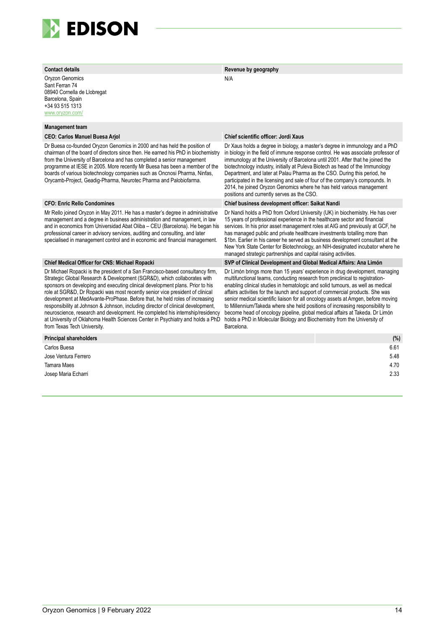

Oryzon Genomics Sant Ferran 74 08940 Cornella de Llobregat Barcelona, Spain +34 93 515 1313 [www.oryzon.com/](https://www.oryzon.com/)

#### **Management team**

Dr Buesa co-founded Oryzon Genomics in 2000 and has held the position of chairman of the board of directors since then. He earned his PhD in biochemistry from the University of Barcelona and has completed a senior management programme at IESE in 2005. More recently Mr Buesa has been a member of the boards of various biotechnology companies such as Oncnosi Pharma, Ninfas, Orycamb-Project, Geadig-Pharma, Neurotec Pharma and Palobiofarma.

Mr Rello joined Oryzon in May 2011. He has a master's degree in administrative management and a degree in business administration and management, in law and in economics from Universidad Abat Oliba – CEU (Barcelona). He began his professional career in advisory services, auditing and consulting, and later specialised in management control and in economic and financial management.

Dr Michael Ropacki is the president of a San Francisco-based consultancy firm, Strategic Global Research & Development (SGR&D), which collaborates with sponsors on developing and executing clinical development plans. Prior to his role at SGR&D, Dr Ropacki was most recently senior vice president of clinical development at MedAvante-ProPhase. Before that, he held roles of increasing responsibility at Johnson & Johnson, including director of clinical development, neuroscience, research and development. He completed his internship/residency at University of Oklahoma Health Sciences Center in Psychiatry and holds a PhD from Texas Tech University.

#### **Contact details Revenue by geography**

N/A

#### **CEO: Carlos Manuel Buesa Arjol Chief scientific officer: Jordi Xaus**

Dr Xaus holds a degree in biology, a master's degree in immunology and a PhD in biology in the field of immune response control. He was associate professor of immunology at the University of Barcelona until 2001. After that he joined the biotechnology industry, initially at Puleva Biotech as head of the Immunology Department, and later at Palau Pharma as the CSO. During this period, he participated in the licensing and sale of four of the company's compounds. In 2014, he joined Oryzon Genomics where he has held various management positions and currently serves as the CSO.

#### **CFO: Enric Rello Condomines Chief business development officer: Saikat Nandi**

Dr Nandi holds a PhD from Oxford University (UK) in biochemistry. He has over 15 years of professional experience in the healthcare sector and financial services. In his prior asset management roles at AIG and previously at GCF, he has managed public and private healthcare investments totalling more than \$1bn. Earlier in his career he served as business development consultant at the New York State Center for Biotechnology, an NIH-designated incubator where he managed strategic partnerships and capital raising activities.

#### **Chief Medical Officer for CNS: Michael Ropacki SVP of Clinical Development and Global Medical Affairs: Ana Limón**

Dr Limón brings more than 15 years' experience in drug development, managing multifunctional teams, conducting research from preclinical to registrationenabling clinical studies in hematologic and solid tumours, as well as medical affairs activities for the launch and support of commercial products. She was senior medical scientific liaison for all oncology assets at Amgen, before moving to Millennium/Takeda where she held positions of increasing responsibility to become head of oncology pipeline, global medical affairs at Takeda. Dr Limón holds a PhD in Molecular Biology and Biochemistry from the University of Barcelona.

| <b>Principal shareholders</b> | (%)  |
|-------------------------------|------|
| Carlos Buesa                  | 6.61 |
| Jose Ventura Ferrero          | 5.48 |
| <b>Tamara Maes</b>            | 4.70 |
| Josep Maria Echarri           | 2.33 |
|                               |      |